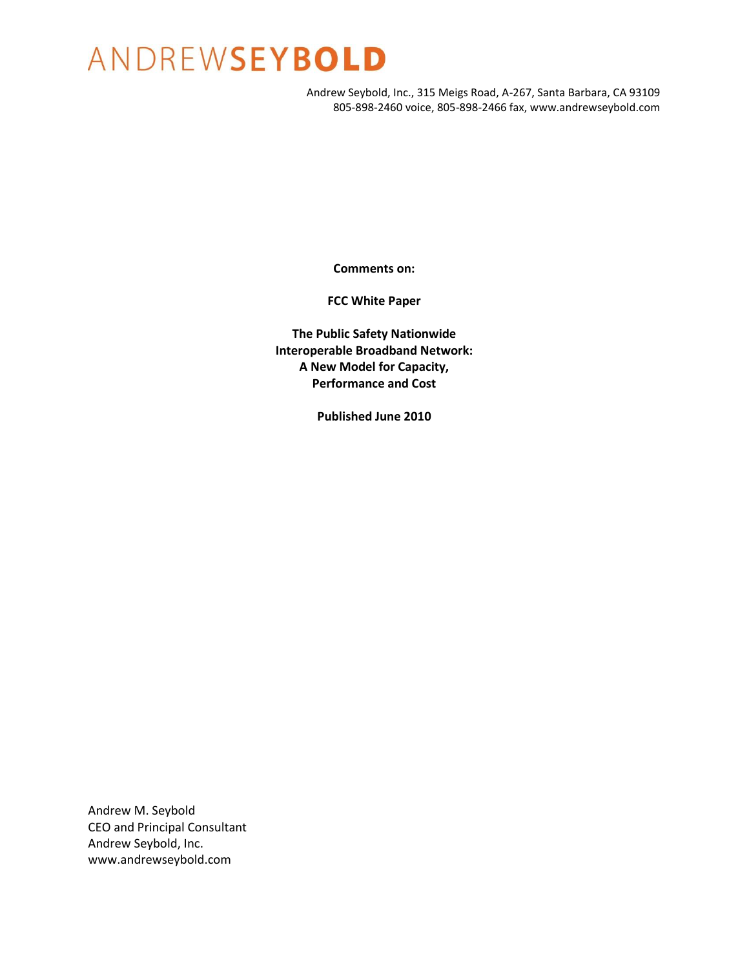Andrew Seybold, Inc., 315 Meigs Road, A-267, Santa Barbara, CA 93109 805-898-2460 voice, 805-898-2466 fax, www.andrewseybold.com

**Comments on:**

**FCC White Paper**

**The Public Safety Nationwide Interoperable Broadband Network: A New Model for Capacity, Performance and Cost**

**Published June 2010**

Andrew M. Seybold CEO and Principal Consultant Andrew Seybold, Inc. www.andrewseybold.com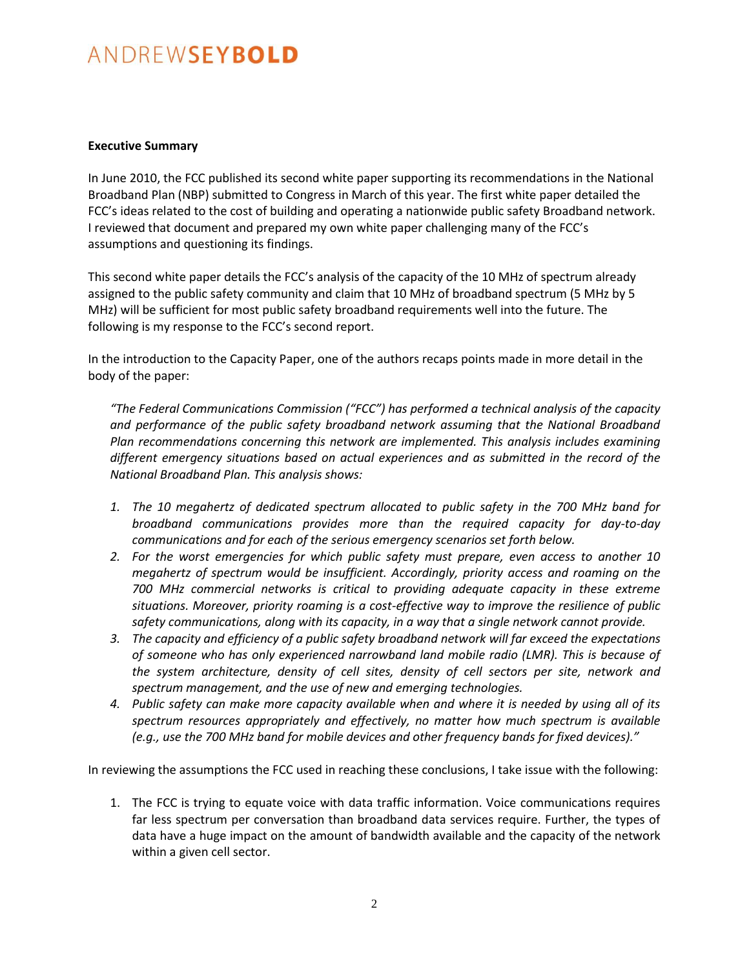#### **Executive Summary**

In June 2010, the FCC published its second white paper supporting its recommendations in the National Broadband Plan (NBP) submitted to Congress in March of this year. The first white paper detailed the FCC's ideas related to the cost of building and operating a nationwide public safety Broadband network. I reviewed that document and prepared my own white paper challenging many of the FCC's assumptions and questioning its findings.

This second white paper details the FCC's analysis of the capacity of the 10 MHz of spectrum already assigned to the public safety community and claim that 10 MHz of broadband spectrum (5 MHz by 5 MHz) will be sufficient for most public safety broadband requirements well into the future. The following is my response to the FCC's second report.

In the introduction to the Capacity Paper, one of the authors recaps points made in more detail in the body of the paper:

*"The Federal Communications Commission ("FCC") has performed a technical analysis of the capacity and performance of the public safety broadband network assuming that the National Broadband Plan recommendations concerning this network are implemented. This analysis includes examining different emergency situations based on actual experiences and as submitted in the record of the National Broadband Plan. This analysis shows:*

- *1. The 10 megahertz of dedicated spectrum allocated to public safety in the 700 MHz band for broadband communications provides more than the required capacity for day-to-day communications and for each of the serious emergency scenarios set forth below.*
- *2. For the worst emergencies for which public safety must prepare, even access to another 10 megahertz of spectrum would be insufficient. Accordingly, priority access and roaming on the 700 MHz commercial networks is critical to providing adequate capacity in these extreme situations. Moreover, priority roaming is a cost-effective way to improve the resilience of public safety communications, along with its capacity, in a way that a single network cannot provide.*
- *3. The capacity and efficiency of a public safety broadband network will far exceed the expectations of someone who has only experienced narrowband land mobile radio (LMR). This is because of the system architecture, density of cell sites, density of cell sectors per site, network and spectrum management, and the use of new and emerging technologies.*
- *4. Public safety can make more capacity available when and where it is needed by using all of its spectrum resources appropriately and effectively, no matter how much spectrum is available (e.g., use the 700 MHz band for mobile devices and other frequency bands for fixed devices)."*

In reviewing the assumptions the FCC used in reaching these conclusions, I take issue with the following:

1. The FCC is trying to equate voice with data traffic information. Voice communications requires far less spectrum per conversation than broadband data services require. Further, the types of data have a huge impact on the amount of bandwidth available and the capacity of the network within a given cell sector.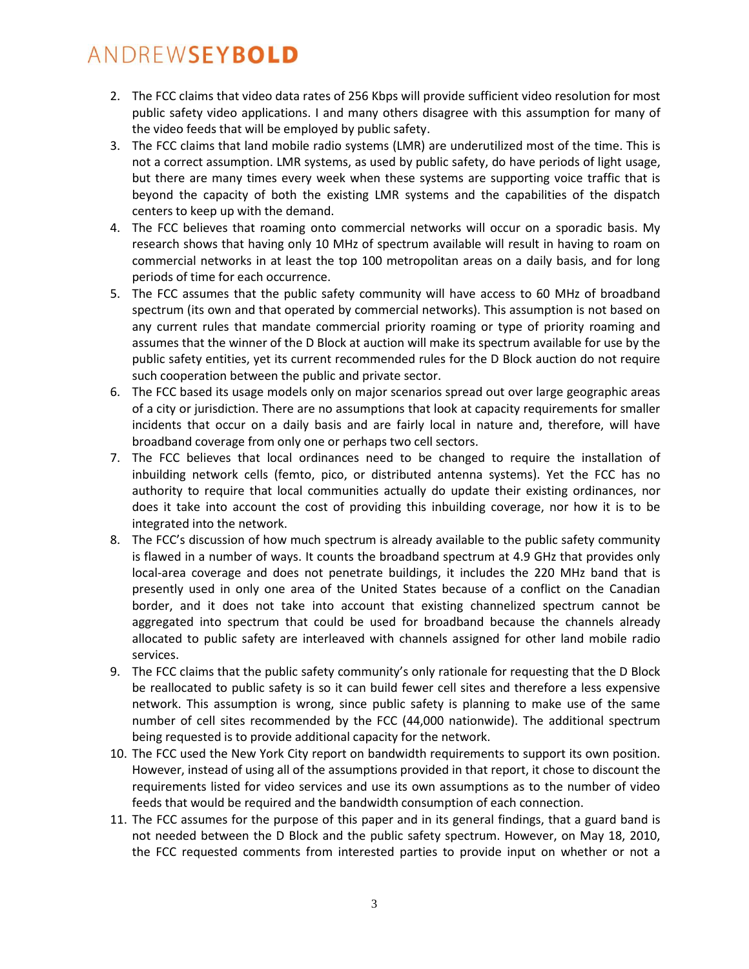- 2. The FCC claims that video data rates of 256 Kbps will provide sufficient video resolution for most public safety video applications. I and many others disagree with this assumption for many of the video feeds that will be employed by public safety.
- 3. The FCC claims that land mobile radio systems (LMR) are underutilized most of the time. This is not a correct assumption. LMR systems, as used by public safety, do have periods of light usage, but there are many times every week when these systems are supporting voice traffic that is beyond the capacity of both the existing LMR systems and the capabilities of the dispatch centers to keep up with the demand.
- 4. The FCC believes that roaming onto commercial networks will occur on a sporadic basis. My research shows that having only 10 MHz of spectrum available will result in having to roam on commercial networks in at least the top 100 metropolitan areas on a daily basis, and for long periods of time for each occurrence.
- 5. The FCC assumes that the public safety community will have access to 60 MHz of broadband spectrum (its own and that operated by commercial networks). This assumption is not based on any current rules that mandate commercial priority roaming or type of priority roaming and assumes that the winner of the D Block at auction will make its spectrum available for use by the public safety entities, yet its current recommended rules for the D Block auction do not require such cooperation between the public and private sector.
- 6. The FCC based its usage models only on major scenarios spread out over large geographic areas of a city or jurisdiction. There are no assumptions that look at capacity requirements for smaller incidents that occur on a daily basis and are fairly local in nature and, therefore, will have broadband coverage from only one or perhaps two cell sectors.
- 7. The FCC believes that local ordinances need to be changed to require the installation of inbuilding network cells (femto, pico, or distributed antenna systems). Yet the FCC has no authority to require that local communities actually do update their existing ordinances, nor does it take into account the cost of providing this inbuilding coverage, nor how it is to be integrated into the network.
- 8. The FCC's discussion of how much spectrum is already available to the public safety community is flawed in a number of ways. It counts the broadband spectrum at 4.9 GHz that provides only local-area coverage and does not penetrate buildings, it includes the 220 MHz band that is presently used in only one area of the United States because of a conflict on the Canadian border, and it does not take into account that existing channelized spectrum cannot be aggregated into spectrum that could be used for broadband because the channels already allocated to public safety are interleaved with channels assigned for other land mobile radio services.
- 9. The FCC claims that the public safety community's only rationale for requesting that the D Block be reallocated to public safety is so it can build fewer cell sites and therefore a less expensive network. This assumption is wrong, since public safety is planning to make use of the same number of cell sites recommended by the FCC (44,000 nationwide). The additional spectrum being requested is to provide additional capacity for the network.
- 10. The FCC used the New York City report on bandwidth requirements to support its own position. However, instead of using all of the assumptions provided in that report, it chose to discount the requirements listed for video services and use its own assumptions as to the number of video feeds that would be required and the bandwidth consumption of each connection.
- 11. The FCC assumes for the purpose of this paper and in its general findings, that a guard band is not needed between the D Block and the public safety spectrum. However, on May 18, 2010, the FCC requested comments from interested parties to provide input on whether or not a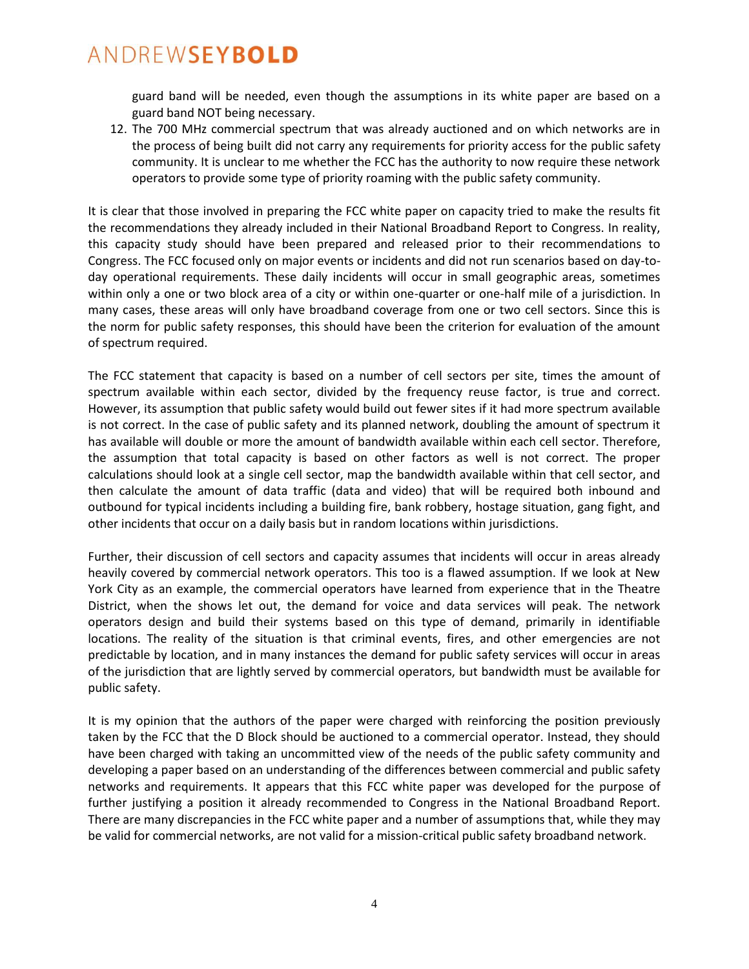guard band will be needed, even though the assumptions in its white paper are based on a guard band NOT being necessary.

12. The 700 MHz commercial spectrum that was already auctioned and on which networks are in the process of being built did not carry any requirements for priority access for the public safety community. It is unclear to me whether the FCC has the authority to now require these network operators to provide some type of priority roaming with the public safety community.

It is clear that those involved in preparing the FCC white paper on capacity tried to make the results fit the recommendations they already included in their National Broadband Report to Congress. In reality, this capacity study should have been prepared and released prior to their recommendations to Congress. The FCC focused only on major events or incidents and did not run scenarios based on day-today operational requirements. These daily incidents will occur in small geographic areas, sometimes within only a one or two block area of a city or within one-quarter or one-half mile of a jurisdiction. In many cases, these areas will only have broadband coverage from one or two cell sectors. Since this is the norm for public safety responses, this should have been the criterion for evaluation of the amount of spectrum required.

The FCC statement that capacity is based on a number of cell sectors per site, times the amount of spectrum available within each sector, divided by the frequency reuse factor, is true and correct. However, its assumption that public safety would build out fewer sites if it had more spectrum available is not correct. In the case of public safety and its planned network, doubling the amount of spectrum it has available will double or more the amount of bandwidth available within each cell sector. Therefore, the assumption that total capacity is based on other factors as well is not correct. The proper calculations should look at a single cell sector, map the bandwidth available within that cell sector, and then calculate the amount of data traffic (data and video) that will be required both inbound and outbound for typical incidents including a building fire, bank robbery, hostage situation, gang fight, and other incidents that occur on a daily basis but in random locations within jurisdictions.

Further, their discussion of cell sectors and capacity assumes that incidents will occur in areas already heavily covered by commercial network operators. This too is a flawed assumption. If we look at New York City as an example, the commercial operators have learned from experience that in the Theatre District, when the shows let out, the demand for voice and data services will peak. The network operators design and build their systems based on this type of demand, primarily in identifiable locations. The reality of the situation is that criminal events, fires, and other emergencies are not predictable by location, and in many instances the demand for public safety services will occur in areas of the jurisdiction that are lightly served by commercial operators, but bandwidth must be available for public safety.

It is my opinion that the authors of the paper were charged with reinforcing the position previously taken by the FCC that the D Block should be auctioned to a commercial operator. Instead, they should have been charged with taking an uncommitted view of the needs of the public safety community and developing a paper based on an understanding of the differences between commercial and public safety networks and requirements. It appears that this FCC white paper was developed for the purpose of further justifying a position it already recommended to Congress in the National Broadband Report. There are many discrepancies in the FCC white paper and a number of assumptions that, while they may be valid for commercial networks, are not valid for a mission-critical public safety broadband network.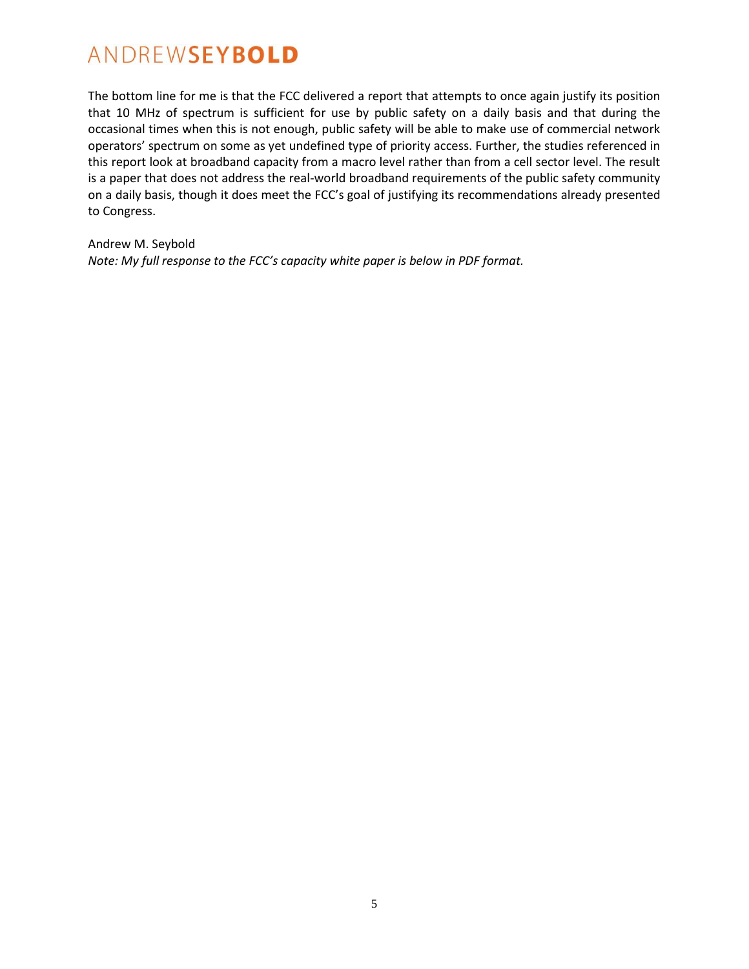The bottom line for me is that the FCC delivered a report that attempts to once again justify its position that 10 MHz of spectrum is sufficient for use by public safety on a daily basis and that during the occasional times when this is not enough, public safety will be able to make use of commercial network operators' spectrum on some as yet undefined type of priority access. Further, the studies referenced in this report look at broadband capacity from a macro level rather than from a cell sector level. The result is a paper that does not address the real-world broadband requirements of the public safety community on a daily basis, though it does meet the FCC's goal of justifying its recommendations already presented to Congress.

Andrew M. Seybold *Note: My full response to the FCC's capacity white paper is below in PDF format.*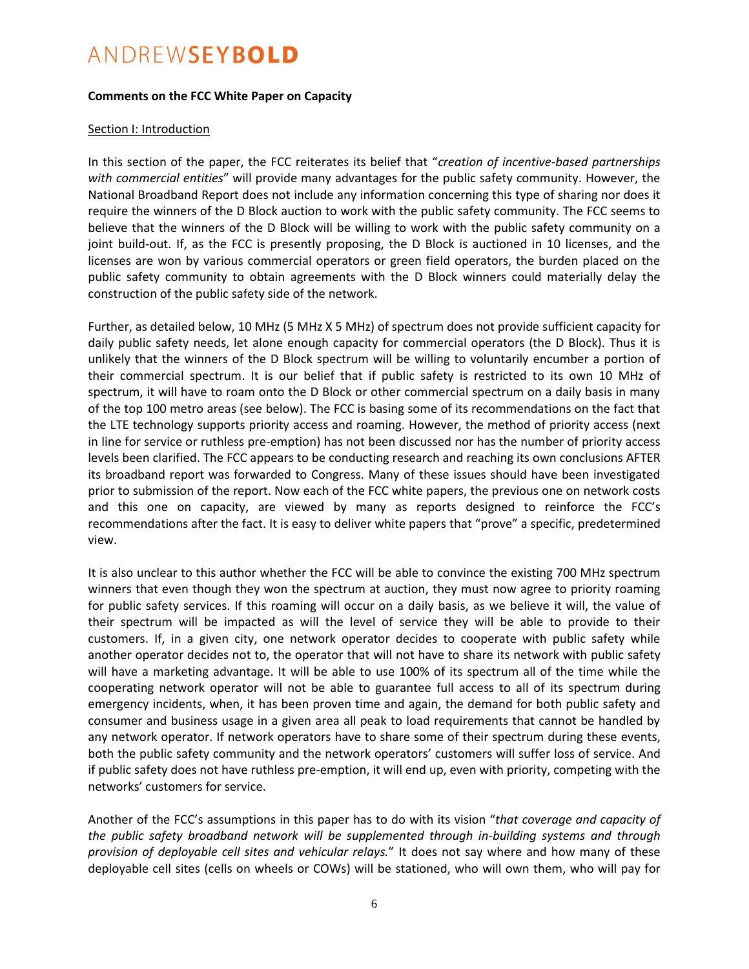#### **Comments on the FCC White Paper on Capacity**

#### Section I: Introduction

In this section of the paper, the FCC reiterates its belief that "*creation of incentive-based partnerships with commercial entities*" will provide many advantages for the public safety community. However, the National Broadband Report does not include any information concerning this type of sharing nor does it require the winners of the D Block auction to work with the public safety community. The FCC seems to believe that the winners of the D Block will be willing to work with the public safety community on a joint build-out. If, as the FCC is presently proposing, the D Block is auctioned in 10 licenses, and the licenses are won by various commercial operators or green field operators, the burden placed on the public safety community to obtain agreements with the D Block winners could materially delay the construction of the public safety side of the network.

Further, as detailed below, 10 MHz (5 MHz X 5 MHz) of spectrum does not provide sufficient capacity for daily public safety needs, let alone enough capacity for commercial operators (the D Block). Thus it is unlikely that the winners of the D Block spectrum will be willing to voluntarily encumber a portion of their commercial spectrum. It is our belief that if public safety is restricted to its own 10 MHz of spectrum, it will have to roam onto the D Block or other commercial spectrum on a daily basis in many of the top 100 metro areas (see below). The FCC is basing some of its recommendations on the fact that the LTE technology supports priority access and roaming. However, the method of priority access (next in line for service or ruthless pre-emption) has not been discussed nor has the number of priority access levels been clarified. The FCC appears to be conducting research and reaching its own conclusions AFTER its broadband report was forwarded to Congress. Many of these issues should have been investigated prior to submission of the report. Now each of the FCC white papers, the previous one on network costs and this one on capacity, are viewed by many as reports designed to reinforce the FCC's recommendations after the fact. It is easy to deliver white papers that "prove" a specific, predetermined view.

It is also unclear to this author whether the FCC will be able to convince the existing 700 MHz spectrum winners that even though they won the spectrum at auction, they must now agree to priority roaming for public safety services. If this roaming will occur on a daily basis, as we believe it will, the value of their spectrum will be impacted as will the level of service they will be able to provide to their customers. If, in a given city, one network operator decides to cooperate with public safety while another operator decides not to, the operator that will not have to share its network with public safety will have a marketing advantage. It will be able to use 100% of its spectrum all of the time while the cooperating network operator will not be able to guarantee full access to all of its spectrum during emergency incidents, when, it has been proven time and again, the demand for both public safety and consumer and business usage in a given area all peak to load requirements that cannot be handled by any network operator. If network operators have to share some of their spectrum during these events, both the public safety community and the network operators' customers will suffer loss of service. And if public safety does not have ruthless pre-emption, it will end up, even with priority, competing with the networks' customers for service.

Another of the FCC's assumptions in this paper has to do with its vision "*that coverage and capacity of the public safety broadband network will be supplemented through in-building systems and through provision of deployable cell sites and vehicular relays.*" It does not say where and how many of these deployable cell sites (cells on wheels or COWs) will be stationed, who will own them, who will pay for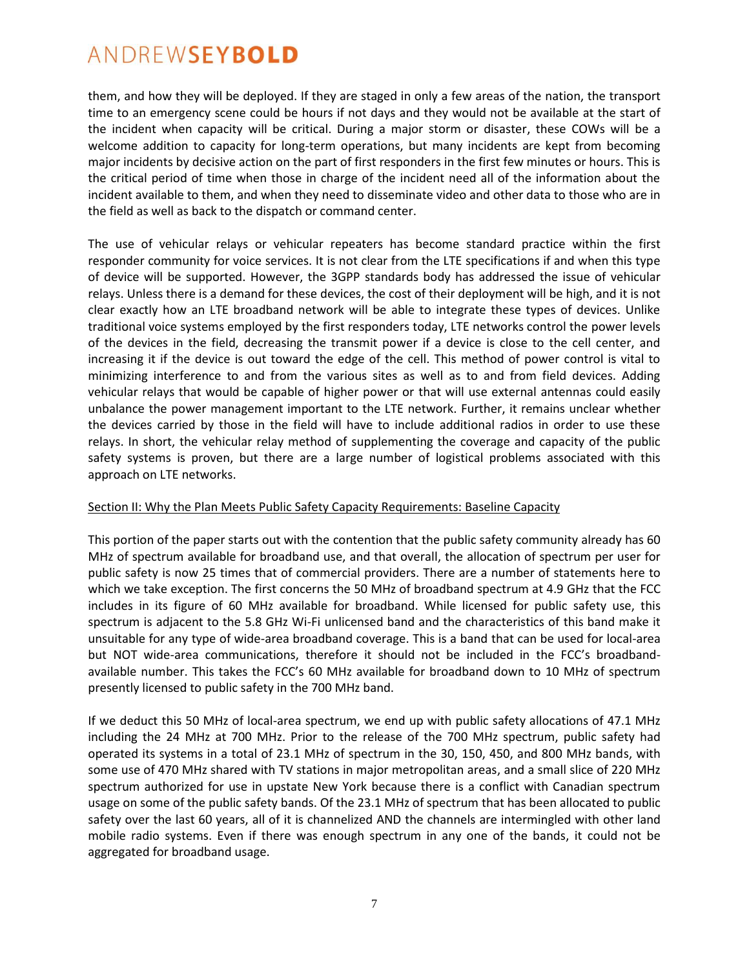them, and how they will be deployed. If they are staged in only a few areas of the nation, the transport time to an emergency scene could be hours if not days and they would not be available at the start of the incident when capacity will be critical. During a major storm or disaster, these COWs will be a welcome addition to capacity for long-term operations, but many incidents are kept from becoming major incidents by decisive action on the part of first responders in the first few minutes or hours. This is the critical period of time when those in charge of the incident need all of the information about the incident available to them, and when they need to disseminate video and other data to those who are in the field as well as back to the dispatch or command center.

The use of vehicular relays or vehicular repeaters has become standard practice within the first responder community for voice services. It is not clear from the LTE specifications if and when this type of device will be supported. However, the 3GPP standards body has addressed the issue of vehicular relays. Unless there is a demand for these devices, the cost of their deployment will be high, and it is not clear exactly how an LTE broadband network will be able to integrate these types of devices. Unlike traditional voice systems employed by the first responders today, LTE networks control the power levels of the devices in the field, decreasing the transmit power if a device is close to the cell center, and increasing it if the device is out toward the edge of the cell. This method of power control is vital to minimizing interference to and from the various sites as well as to and from field devices. Adding vehicular relays that would be capable of higher power or that will use external antennas could easily unbalance the power management important to the LTE network. Further, it remains unclear whether the devices carried by those in the field will have to include additional radios in order to use these relays. In short, the vehicular relay method of supplementing the coverage and capacity of the public safety systems is proven, but there are a large number of logistical problems associated with this approach on LTE networks.

#### Section II: Why the Plan Meets Public Safety Capacity Requirements: Baseline Capacity

This portion of the paper starts out with the contention that the public safety community already has 60 MHz of spectrum available for broadband use, and that overall, the allocation of spectrum per user for public safety is now 25 times that of commercial providers. There are a number of statements here to which we take exception. The first concerns the 50 MHz of broadband spectrum at 4.9 GHz that the FCC includes in its figure of 60 MHz available for broadband. While licensed for public safety use, this spectrum is adjacent to the 5.8 GHz Wi-Fi unlicensed band and the characteristics of this band make it unsuitable for any type of wide-area broadband coverage. This is a band that can be used for local-area but NOT wide-area communications, therefore it should not be included in the FCC's broadbandavailable number. This takes the FCC's 60 MHz available for broadband down to 10 MHz of spectrum presently licensed to public safety in the 700 MHz band.

If we deduct this 50 MHz of local-area spectrum, we end up with public safety allocations of 47.1 MHz including the 24 MHz at 700 MHz. Prior to the release of the 700 MHz spectrum, public safety had operated its systems in a total of 23.1 MHz of spectrum in the 30, 150, 450, and 800 MHz bands, with some use of 470 MHz shared with TV stations in major metropolitan areas, and a small slice of 220 MHz spectrum authorized for use in upstate New York because there is a conflict with Canadian spectrum usage on some of the public safety bands. Of the 23.1 MHz of spectrum that has been allocated to public safety over the last 60 years, all of it is channelized AND the channels are intermingled with other land mobile radio systems. Even if there was enough spectrum in any one of the bands, it could not be aggregated for broadband usage.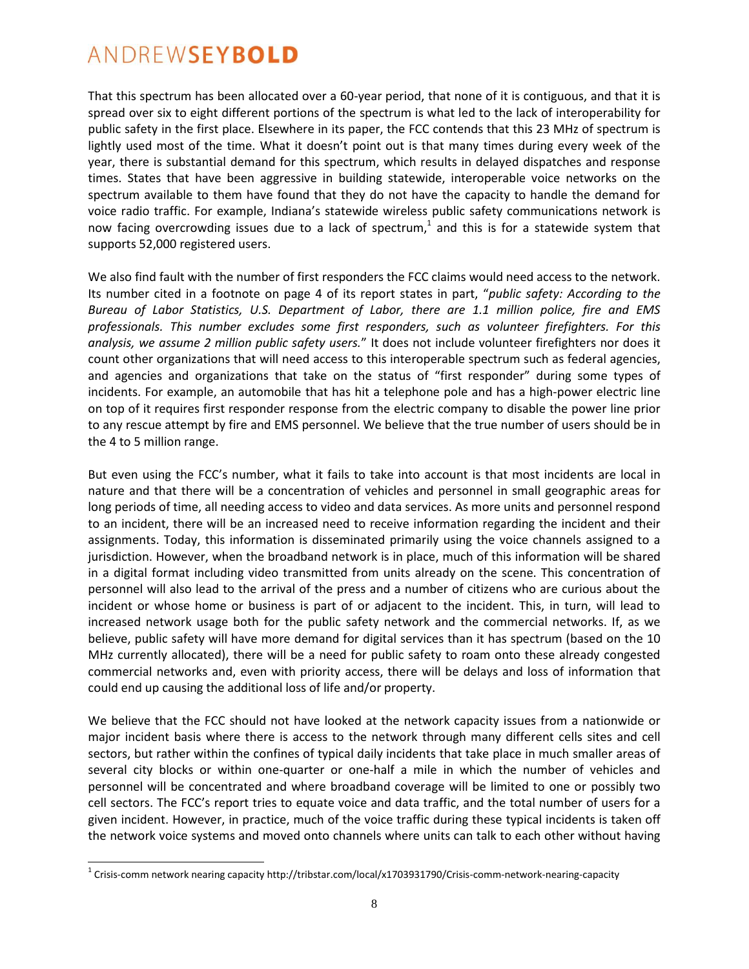$\overline{a}$ 

That this spectrum has been allocated over a 60-year period, that none of it is contiguous, and that it is spread over six to eight different portions of the spectrum is what led to the lack of interoperability for public safety in the first place. Elsewhere in its paper, the FCC contends that this 23 MHz of spectrum is lightly used most of the time. What it doesn't point out is that many times during every week of the year, there is substantial demand for this spectrum, which results in delayed dispatches and response times. States that have been aggressive in building statewide, interoperable voice networks on the spectrum available to them have found that they do not have the capacity to handle the demand for voice radio traffic. For example, Indiana's statewide wireless public safety communications network is now facing overcrowding issues due to a lack of spectrum,<sup>1</sup> and this is for a statewide system that supports 52,000 registered users.

We also find fault with the number of first responders the FCC claims would need access to the network. Its number cited in a footnote on page 4 of its report states in part, "*public safety: According to the Bureau of Labor Statistics, U.S. Department of Labor, there are 1.1 million police, fire and EMS professionals. This number excludes some first responders, such as volunteer firefighters. For this analysis, we assume 2 million public safety users.*" It does not include volunteer firefighters nor does it count other organizations that will need access to this interoperable spectrum such as federal agencies, and agencies and organizations that take on the status of "first responder" during some types of incidents. For example, an automobile that has hit a telephone pole and has a high-power electric line on top of it requires first responder response from the electric company to disable the power line prior to any rescue attempt by fire and EMS personnel. We believe that the true number of users should be in the 4 to 5 million range.

But even using the FCC's number, what it fails to take into account is that most incidents are local in nature and that there will be a concentration of vehicles and personnel in small geographic areas for long periods of time, all needing access to video and data services. As more units and personnel respond to an incident, there will be an increased need to receive information regarding the incident and their assignments. Today, this information is disseminated primarily using the voice channels assigned to a jurisdiction. However, when the broadband network is in place, much of this information will be shared in a digital format including video transmitted from units already on the scene. This concentration of personnel will also lead to the arrival of the press and a number of citizens who are curious about the incident or whose home or business is part of or adjacent to the incident. This, in turn, will lead to increased network usage both for the public safety network and the commercial networks. If, as we believe, public safety will have more demand for digital services than it has spectrum (based on the 10 MHz currently allocated), there will be a need for public safety to roam onto these already congested commercial networks and, even with priority access, there will be delays and loss of information that could end up causing the additional loss of life and/or property.

We believe that the FCC should not have looked at the network capacity issues from a nationwide or major incident basis where there is access to the network through many different cells sites and cell sectors, but rather within the confines of typical daily incidents that take place in much smaller areas of several city blocks or within one-quarter or one-half a mile in which the number of vehicles and personnel will be concentrated and where broadband coverage will be limited to one or possibly two cell sectors. The FCC's report tries to equate voice and data traffic, and the total number of users for a given incident. However, in practice, much of the voice traffic during these typical incidents is taken off the network voice systems and moved onto channels where units can talk to each other without having

 $^1$  Crisis-comm network nearing capacity http://tribstar.com/local/x1703931790/Crisis-comm-network-nearing-capacity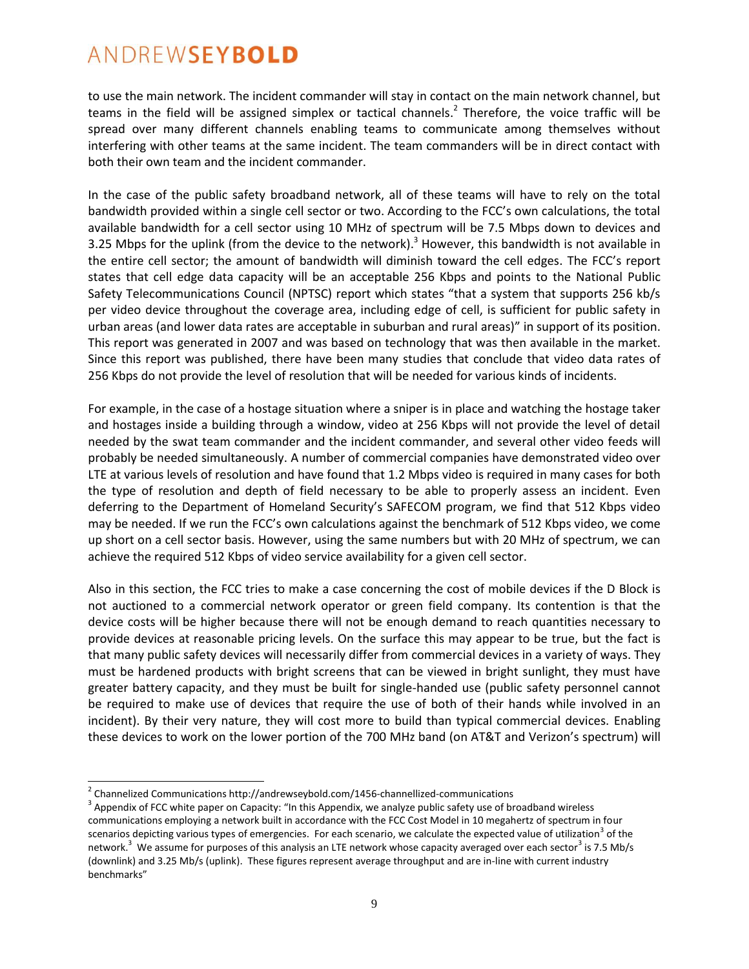to use the main network. The incident commander will stay in contact on the main network channel, but teams in the field will be assigned simplex or tactical channels.<sup>2</sup> Therefore, the voice traffic will be spread over many different channels enabling teams to communicate among themselves without interfering with other teams at the same incident. The team commanders will be in direct contact with both their own team and the incident commander.

In the case of the public safety broadband network, all of these teams will have to rely on the total bandwidth provided within a single cell sector or two. According to the FCC's own calculations, the total available bandwidth for a cell sector using 10 MHz of spectrum will be 7.5 Mbps down to devices and 3.25 Mbps for the uplink (from the device to the network).<sup>3</sup> However, this bandwidth is not available in the entire cell sector; the amount of bandwidth will diminish toward the cell edges. The FCC's report states that cell edge data capacity will be an acceptable 256 Kbps and points to the National Public Safety Telecommunications Council (NPTSC) report which states "that a system that supports 256 kb/s per video device throughout the coverage area, including edge of cell, is sufficient for public safety in urban areas (and lower data rates are acceptable in suburban and rural areas)" in support of its position. This report was generated in 2007 and was based on technology that was then available in the market. Since this report was published, there have been many studies that conclude that video data rates of 256 Kbps do not provide the level of resolution that will be needed for various kinds of incidents.

For example, in the case of a hostage situation where a sniper is in place and watching the hostage taker and hostages inside a building through a window, video at 256 Kbps will not provide the level of detail needed by the swat team commander and the incident commander, and several other video feeds will probably be needed simultaneously. A number of commercial companies have demonstrated video over LTE at various levels of resolution and have found that 1.2 Mbps video is required in many cases for both the type of resolution and depth of field necessary to be able to properly assess an incident. Even deferring to the Department of Homeland Security's SAFECOM program, we find that 512 Kbps video may be needed. If we run the FCC's own calculations against the benchmark of 512 Kbps video, we come up short on a cell sector basis. However, using the same numbers but with 20 MHz of spectrum, we can achieve the required 512 Kbps of video service availability for a given cell sector.

Also in this section, the FCC tries to make a case concerning the cost of mobile devices if the D Block is not auctioned to a commercial network operator or green field company. Its contention is that the device costs will be higher because there will not be enough demand to reach quantities necessary to provide devices at reasonable pricing levels. On the surface this may appear to be true, but the fact is that many public safety devices will necessarily differ from commercial devices in a variety of ways. They must be hardened products with bright screens that can be viewed in bright sunlight, they must have greater battery capacity, and they must be built for single-handed use (public safety personnel cannot be required to make use of devices that require the use of both of their hands while involved in an incident). By their very nature, they will cost more to build than typical commercial devices. Enabling these devices to work on the lower portion of the 700 MHz band (on AT&T and Verizon's spectrum) will

 $^{2}$  Channelized Communications http://andrewseybold.com/1456-channellized-communications

 $3$  Appendix of FCC white paper on Capacity: "In this Appendix, we analyze public safety use of broadband wireless communications employing a network built in accordance with the FCC Cost Model in 10 megahertz of spectrum in four scenarios depicting various types of emergencies. For each scenario, we calculate the expected value of utilization<sup>3</sup> of the network.<sup>3</sup> We assume for purposes of this analysis an LTE network whose capacity averaged over each sector<sup>3</sup> is 7.5 Mb/s (downlink) and 3.25 Mb/s (uplink). These figures represent average throughput and are in-line with current industry benchmarks"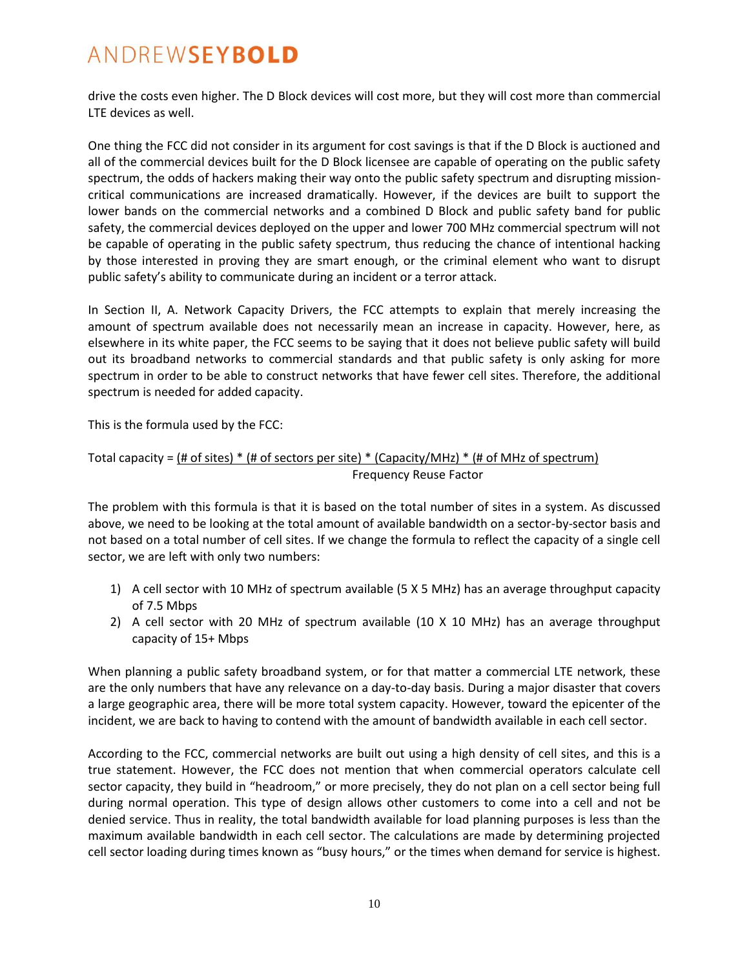drive the costs even higher. The D Block devices will cost more, but they will cost more than commercial LTE devices as well.

One thing the FCC did not consider in its argument for cost savings is that if the D Block is auctioned and all of the commercial devices built for the D Block licensee are capable of operating on the public safety spectrum, the odds of hackers making their way onto the public safety spectrum and disrupting missioncritical communications are increased dramatically. However, if the devices are built to support the lower bands on the commercial networks and a combined D Block and public safety band for public safety, the commercial devices deployed on the upper and lower 700 MHz commercial spectrum will not be capable of operating in the public safety spectrum, thus reducing the chance of intentional hacking by those interested in proving they are smart enough, or the criminal element who want to disrupt public safety's ability to communicate during an incident or a terror attack.

In Section II, A. Network Capacity Drivers, the FCC attempts to explain that merely increasing the amount of spectrum available does not necessarily mean an increase in capacity. However, here, as elsewhere in its white paper, the FCC seems to be saying that it does not believe public safety will build out its broadband networks to commercial standards and that public safety is only asking for more spectrum in order to be able to construct networks that have fewer cell sites. Therefore, the additional spectrum is needed for added capacity.

This is the formula used by the FCC:

### Total capacity = (# of sites) \* (# of sectors per site) \* (Capacity/MHz) \* (# of MHz of spectrum) Frequency Reuse Factor

The problem with this formula is that it is based on the total number of sites in a system. As discussed above, we need to be looking at the total amount of available bandwidth on a sector-by-sector basis and not based on a total number of cell sites. If we change the formula to reflect the capacity of a single cell sector, we are left with only two numbers:

- 1) A cell sector with 10 MHz of spectrum available (5 X 5 MHz) has an average throughput capacity of 7.5 Mbps
- 2) A cell sector with 20 MHz of spectrum available (10 X 10 MHz) has an average throughput capacity of 15+ Mbps

When planning a public safety broadband system, or for that matter a commercial LTE network, these are the only numbers that have any relevance on a day-to-day basis. During a major disaster that covers a large geographic area, there will be more total system capacity. However, toward the epicenter of the incident, we are back to having to contend with the amount of bandwidth available in each cell sector.

According to the FCC, commercial networks are built out using a high density of cell sites, and this is a true statement. However, the FCC does not mention that when commercial operators calculate cell sector capacity, they build in "headroom," or more precisely, they do not plan on a cell sector being full during normal operation. This type of design allows other customers to come into a cell and not be denied service. Thus in reality, the total bandwidth available for load planning purposes is less than the maximum available bandwidth in each cell sector. The calculations are made by determining projected cell sector loading during times known as "busy hours," or the times when demand for service is highest.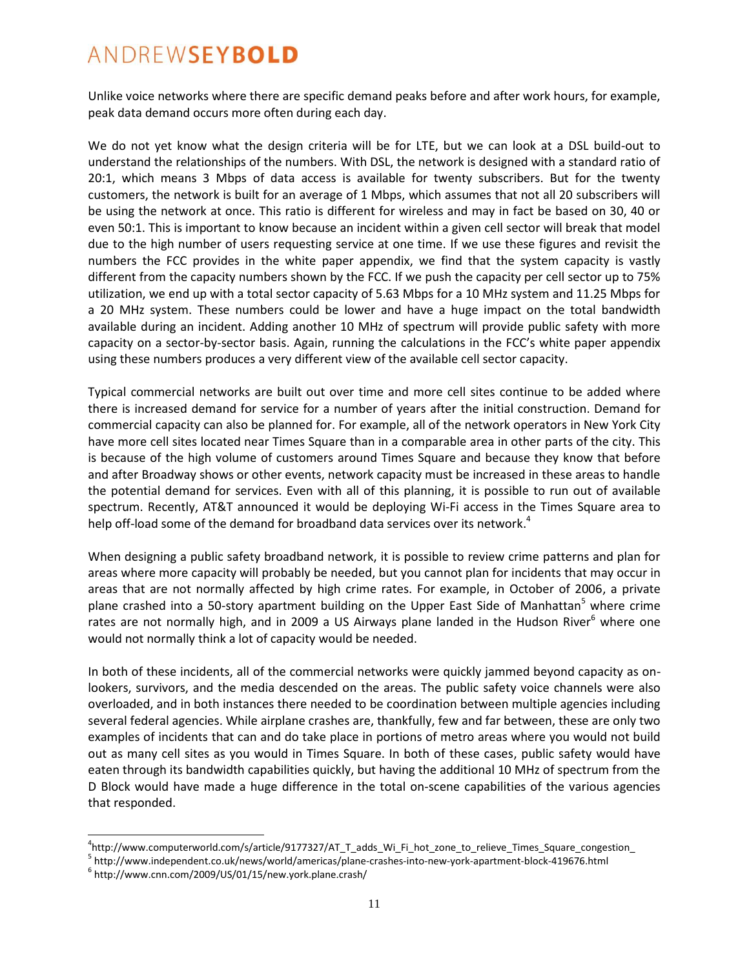Unlike voice networks where there are specific demand peaks before and after work hours, for example, peak data demand occurs more often during each day.

We do not yet know what the design criteria will be for LTE, but we can look at a DSL build-out to understand the relationships of the numbers. With DSL, the network is designed with a standard ratio of 20:1, which means 3 Mbps of data access is available for twenty subscribers. But for the twenty customers, the network is built for an average of 1 Mbps, which assumes that not all 20 subscribers will be using the network at once. This ratio is different for wireless and may in fact be based on 30, 40 or even 50:1. This is important to know because an incident within a given cell sector will break that model due to the high number of users requesting service at one time. If we use these figures and revisit the numbers the FCC provides in the white paper appendix, we find that the system capacity is vastly different from the capacity numbers shown by the FCC. If we push the capacity per cell sector up to 75% utilization, we end up with a total sector capacity of 5.63 Mbps for a 10 MHz system and 11.25 Mbps for a 20 MHz system. These numbers could be lower and have a huge impact on the total bandwidth available during an incident. Adding another 10 MHz of spectrum will provide public safety with more capacity on a sector-by-sector basis. Again, running the calculations in the FCC's white paper appendix using these numbers produces a very different view of the available cell sector capacity.

Typical commercial networks are built out over time and more cell sites continue to be added where there is increased demand for service for a number of years after the initial construction. Demand for commercial capacity can also be planned for. For example, all of the network operators in New York City have more cell sites located near Times Square than in a comparable area in other parts of the city. This is because of the high volume of customers around Times Square and because they know that before and after Broadway shows or other events, network capacity must be increased in these areas to handle the potential demand for services. Even with all of this planning, it is possible to run out of available spectrum. Recently, AT&T announced it would be deploying Wi-Fi access in the Times Square area to help off-load some of the demand for broadband data services over its network.<sup>4</sup>

When designing a public safety broadband network, it is possible to review crime patterns and plan for areas where more capacity will probably be needed, but you cannot plan for incidents that may occur in areas that are not normally affected by high crime rates. For example, in October of 2006, a private plane crashed into a 50-story apartment building on the Upper East Side of Manhattan<sup>5</sup> where crime rates are not normally high, and in 2009 a US Airways plane landed in the Hudson River<sup>6</sup> where one would not normally think a lot of capacity would be needed.

In both of these incidents, all of the commercial networks were quickly jammed beyond capacity as onlookers, survivors, and the media descended on the areas. The public safety voice channels were also overloaded, and in both instances there needed to be coordination between multiple agencies including several federal agencies. While airplane crashes are, thankfully, few and far between, these are only two examples of incidents that can and do take place in portions of metro areas where you would not build out as many cell sites as you would in Times Square. In both of these cases, public safety would have eaten through its bandwidth capabilities quickly, but having the additional 10 MHz of spectrum from the D Block would have made a huge difference in the total on-scene capabilities of the various agencies that responded.

<sup>4</sup> http://www.computerworld.com/s/article/9177327/AT\_T\_adds\_Wi\_Fi\_hot\_zone\_to\_relieve\_Times\_Square\_congestion\_

<sup>&</sup>lt;sup>5</sup> http://www.independent.co.uk/news/world/americas/plane-crashes-into-new-york-apartment-block-419676.html

<sup>6</sup> http://www.cnn.com/2009/US/01/15/new.york.plane.crash/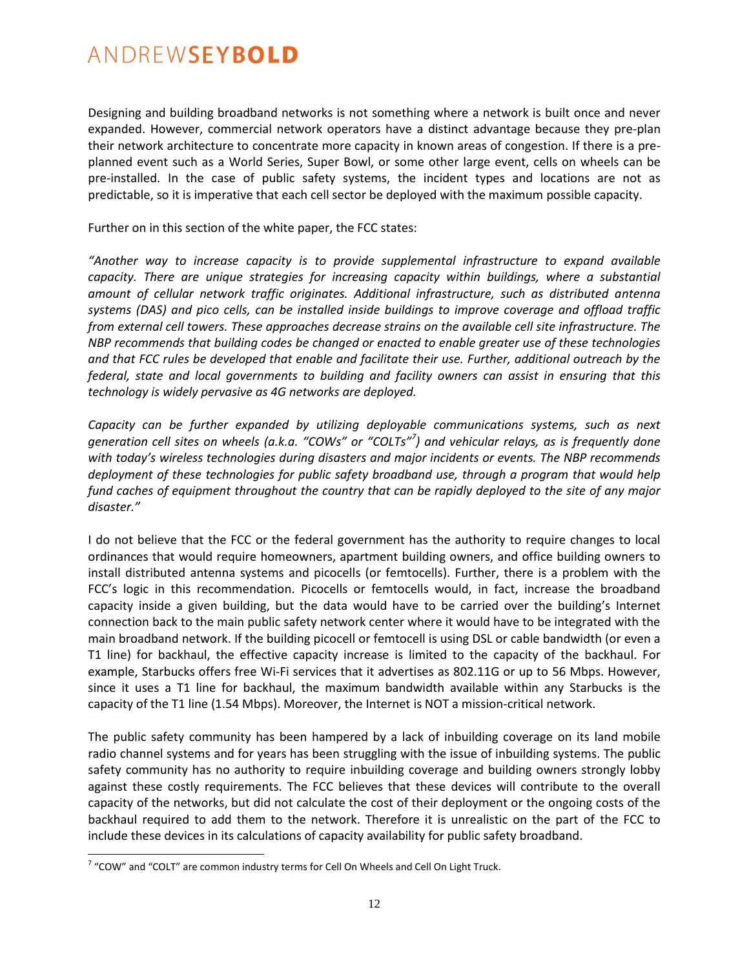Designing and building broadband networks is not something where a network is built once and never expanded. However, commercial network operators have a distinct advantage because they pre-plan their network architecture to concentrate more capacity in known areas of congestion. If there is a preplanned event such as a World Series, Super Bowl, or some other large event, cells on wheels can be pre-installed. In the case of public safety systems, the incident types and locations are not as predictable, so it is imperative that each cell sector be deployed with the maximum possible capacity.

Further on in this section of the white paper, the FCC states:

*"Another way to increase capacity is to provide supplemental infrastructure to expand available capacity. There are unique strategies for increasing capacity within buildings, where a substantial amount of cellular network traffic originates. Additional infrastructure, such as distributed antenna systems (DAS) and pico cells, can be installed inside buildings to improve coverage and offload traffic from external cell towers. These approaches decrease strains on the available cell site infrastructure. The NBP recommends that building codes be changed or enacted to enable greater use of these technologies and that FCC rules be developed that enable and facilitate their use. Further, additional outreach by the federal, state and local governments to building and facility owners can assist in ensuring that this technology is widely pervasive as 4G networks are deployed.*

*Capacity can be further expanded by utilizing deployable communications systems, such as next generation cell sites on wheels (a.k.a. "COWs" or "COLTs"<sup>7</sup> ) and vehicular relays, as is frequently done with today's wireless technologies during disasters and major incidents or events. The NBP recommends deployment of these technologies for public safety broadband use, through a program that would help fund caches of equipment throughout the country that can be rapidly deployed to the site of any major disaster."*

I do not believe that the FCC or the federal government has the authority to require changes to local ordinances that would require homeowners, apartment building owners, and office building owners to install distributed antenna systems and picocells (or femtocells). Further, there is a problem with the FCC's logic in this recommendation. Picocells or femtocells would, in fact, increase the broadband capacity inside a given building, but the data would have to be carried over the building's Internet connection back to the main public safety network center where it would have to be integrated with the main broadband network. If the building picocell or femtocell is using DSL or cable bandwidth (or even a T1 line) for backhaul, the effective capacity increase is limited to the capacity of the backhaul. For example, Starbucks offers free Wi-Fi services that it advertises as 802.11G or up to 56 Mbps. However, since it uses a T1 line for backhaul, the maximum bandwidth available within any Starbucks is the capacity of the T1 line (1.54 Mbps). Moreover, the Internet is NOT a mission-critical network.

The public safety community has been hampered by a lack of inbuilding coverage on its land mobile radio channel systems and for years has been struggling with the issue of inbuilding systems. The public safety community has no authority to require inbuilding coverage and building owners strongly lobby against these costly requirements. The FCC believes that these devices will contribute to the overall capacity of the networks, but did not calculate the cost of their deployment or the ongoing costs of the backhaul required to add them to the network. Therefore it is unrealistic on the part of the FCC to include these devices in its calculations of capacity availability for public safety broadband.

 $^7$  "COW" and "COLT" are common industry terms for Cell On Wheels and Cell On Light Truck.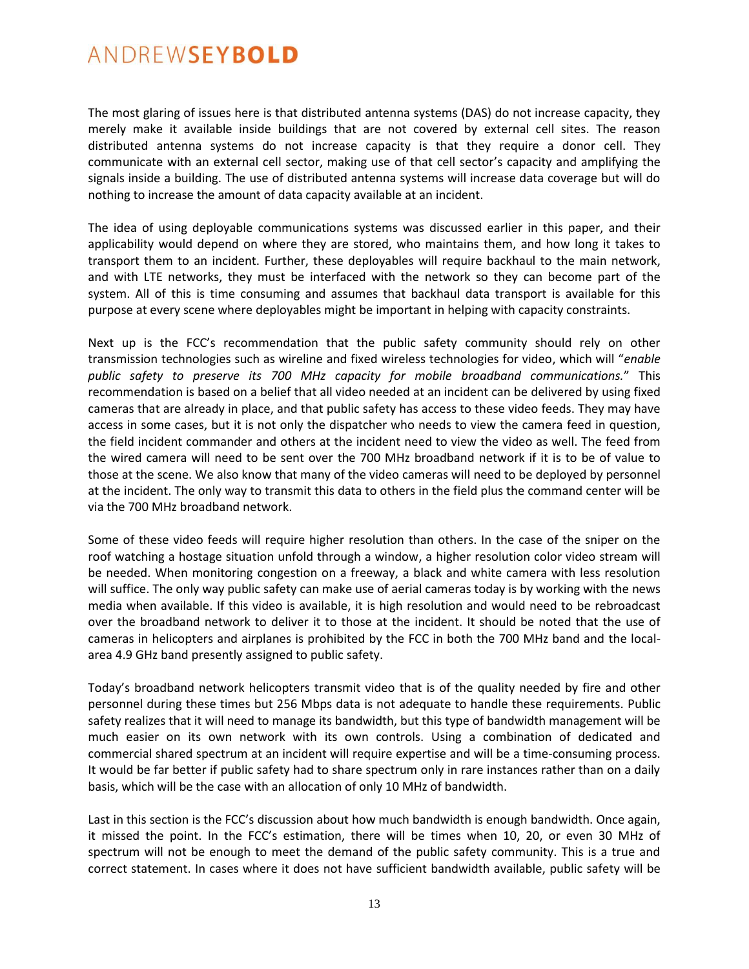The most glaring of issues here is that distributed antenna systems (DAS) do not increase capacity, they merely make it available inside buildings that are not covered by external cell sites. The reason distributed antenna systems do not increase capacity is that they require a donor cell. They communicate with an external cell sector, making use of that cell sector's capacity and amplifying the signals inside a building. The use of distributed antenna systems will increase data coverage but will do nothing to increase the amount of data capacity available at an incident.

The idea of using deployable communications systems was discussed earlier in this paper, and their applicability would depend on where they are stored, who maintains them, and how long it takes to transport them to an incident. Further, these deployables will require backhaul to the main network, and with LTE networks, they must be interfaced with the network so they can become part of the system. All of this is time consuming and assumes that backhaul data transport is available for this purpose at every scene where deployables might be important in helping with capacity constraints.

Next up is the FCC's recommendation that the public safety community should rely on other transmission technologies such as wireline and fixed wireless technologies for video, which will "*enable public safety to preserve its 700 MHz capacity for mobile broadband communications.*" This recommendation is based on a belief that all video needed at an incident can be delivered by using fixed cameras that are already in place, and that public safety has access to these video feeds. They may have access in some cases, but it is not only the dispatcher who needs to view the camera feed in question, the field incident commander and others at the incident need to view the video as well. The feed from the wired camera will need to be sent over the 700 MHz broadband network if it is to be of value to those at the scene. We also know that many of the video cameras will need to be deployed by personnel at the incident. The only way to transmit this data to others in the field plus the command center will be via the 700 MHz broadband network.

Some of these video feeds will require higher resolution than others. In the case of the sniper on the roof watching a hostage situation unfold through a window, a higher resolution color video stream will be needed. When monitoring congestion on a freeway, a black and white camera with less resolution will suffice. The only way public safety can make use of aerial cameras today is by working with the news media when available. If this video is available, it is high resolution and would need to be rebroadcast over the broadband network to deliver it to those at the incident. It should be noted that the use of cameras in helicopters and airplanes is prohibited by the FCC in both the 700 MHz band and the localarea 4.9 GHz band presently assigned to public safety.

Today's broadband network helicopters transmit video that is of the quality needed by fire and other personnel during these times but 256 Mbps data is not adequate to handle these requirements. Public safety realizes that it will need to manage its bandwidth, but this type of bandwidth management will be much easier on its own network with its own controls. Using a combination of dedicated and commercial shared spectrum at an incident will require expertise and will be a time-consuming process. It would be far better if public safety had to share spectrum only in rare instances rather than on a daily basis, which will be the case with an allocation of only 10 MHz of bandwidth.

Last in this section is the FCC's discussion about how much bandwidth is enough bandwidth. Once again, it missed the point. In the FCC's estimation, there will be times when 10, 20, or even 30 MHz of spectrum will not be enough to meet the demand of the public safety community. This is a true and correct statement. In cases where it does not have sufficient bandwidth available, public safety will be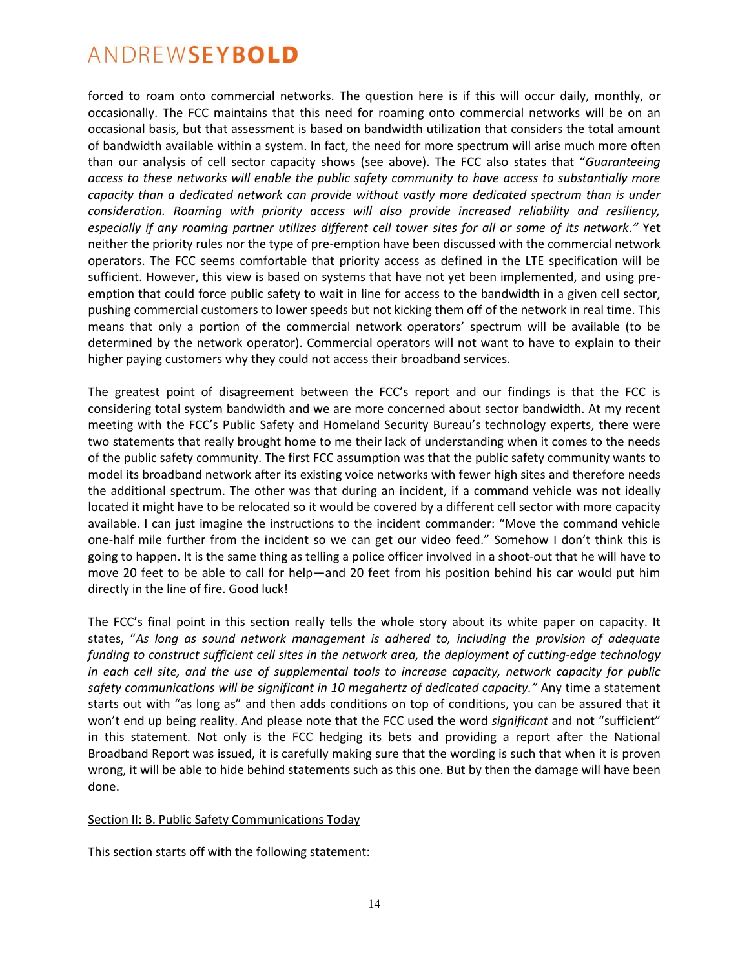forced to roam onto commercial networks. The question here is if this will occur daily, monthly, or occasionally. The FCC maintains that this need for roaming onto commercial networks will be on an occasional basis, but that assessment is based on bandwidth utilization that considers the total amount of bandwidth available within a system. In fact, the need for more spectrum will arise much more often than our analysis of cell sector capacity shows (see above). The FCC also states that "*Guaranteeing access to these networks will enable the public safety community to have access to substantially more capacity than a dedicated network can provide without vastly more dedicated spectrum than is under consideration. Roaming with priority access will also provide increased reliability and resiliency, especially if any roaming partner utilizes different cell tower sites for all or some of its network."* Yet neither the priority rules nor the type of pre-emption have been discussed with the commercial network operators. The FCC seems comfortable that priority access as defined in the LTE specification will be sufficient. However, this view is based on systems that have not yet been implemented, and using preemption that could force public safety to wait in line for access to the bandwidth in a given cell sector, pushing commercial customers to lower speeds but not kicking them off of the network in real time. This means that only a portion of the commercial network operators' spectrum will be available (to be determined by the network operator). Commercial operators will not want to have to explain to their higher paying customers why they could not access their broadband services.

The greatest point of disagreement between the FCC's report and our findings is that the FCC is considering total system bandwidth and we are more concerned about sector bandwidth. At my recent meeting with the FCC's Public Safety and Homeland Security Bureau's technology experts, there were two statements that really brought home to me their lack of understanding when it comes to the needs of the public safety community. The first FCC assumption was that the public safety community wants to model its broadband network after its existing voice networks with fewer high sites and therefore needs the additional spectrum. The other was that during an incident, if a command vehicle was not ideally located it might have to be relocated so it would be covered by a different cell sector with more capacity available. I can just imagine the instructions to the incident commander: "Move the command vehicle one-half mile further from the incident so we can get our video feed." Somehow I don't think this is going to happen. It is the same thing as telling a police officer involved in a shoot-out that he will have to move 20 feet to be able to call for help—and 20 feet from his position behind his car would put him directly in the line of fire. Good luck!

The FCC's final point in this section really tells the whole story about its white paper on capacity. It states, "*As long as sound network management is adhered to, including the provision of adequate funding to construct sufficient cell sites in the network area, the deployment of cutting-edge technology in each cell site, and the use of supplemental tools to increase capacity, network capacity for public safety communications will be significant in 10 megahertz of dedicated capacity."* Any time a statement starts out with "as long as" and then adds conditions on top of conditions, you can be assured that it won't end up being reality. And please note that the FCC used the word *significant* and not "sufficient" in this statement. Not only is the FCC hedging its bets and providing a report after the National Broadband Report was issued, it is carefully making sure that the wording is such that when it is proven wrong, it will be able to hide behind statements such as this one. But by then the damage will have been done.

#### Section II: B. Public Safety Communications Today

This section starts off with the following statement: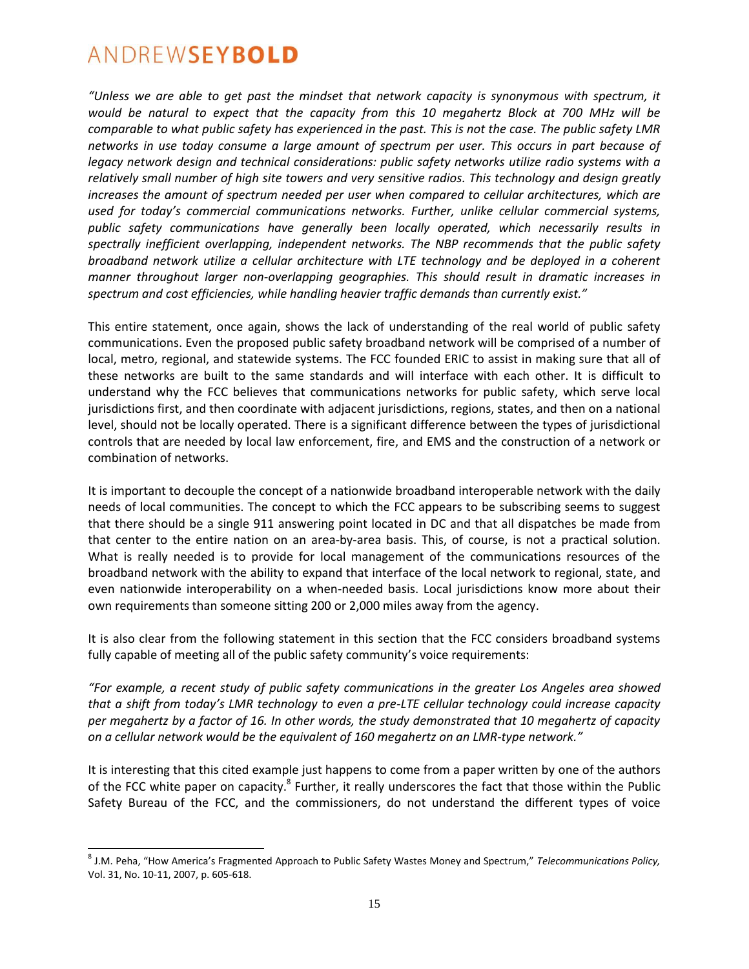$\overline{a}$ 

*"Unless we are able to get past the mindset that network capacity is synonymous with spectrum, it would be natural to expect that the capacity from this 10 megahertz Block at 700 MHz will be comparable to what public safety has experienced in the past. This is not the case. The public safety LMR networks in use today consume a large amount of spectrum per user. This occurs in part because of legacy network design and technical considerations: public safety networks utilize radio systems with a relatively small number of high site towers and very sensitive radios. This technology and design greatly increases the amount of spectrum needed per user when compared to cellular architectures, which are used for today's commercial communications networks. Further, unlike cellular commercial systems, public safety communications have generally been locally operated, which necessarily results in spectrally inefficient overlapping, independent networks. The NBP recommends that the public safety broadband network utilize a cellular architecture with LTE technology and be deployed in a coherent manner throughout larger non-overlapping geographies. This should result in dramatic increases in spectrum and cost efficiencies, while handling heavier traffic demands than currently exist."*

This entire statement, once again, shows the lack of understanding of the real world of public safety communications. Even the proposed public safety broadband network will be comprised of a number of local, metro, regional, and statewide systems. The FCC founded ERIC to assist in making sure that all of these networks are built to the same standards and will interface with each other. It is difficult to understand why the FCC believes that communications networks for public safety, which serve local jurisdictions first, and then coordinate with adjacent jurisdictions, regions, states, and then on a national level, should not be locally operated. There is a significant difference between the types of jurisdictional controls that are needed by local law enforcement, fire, and EMS and the construction of a network or combination of networks.

It is important to decouple the concept of a nationwide broadband interoperable network with the daily needs of local communities. The concept to which the FCC appears to be subscribing seems to suggest that there should be a single 911 answering point located in DC and that all dispatches be made from that center to the entire nation on an area-by-area basis. This, of course, is not a practical solution. What is really needed is to provide for local management of the communications resources of the broadband network with the ability to expand that interface of the local network to regional, state, and even nationwide interoperability on a when-needed basis. Local jurisdictions know more about their own requirements than someone sitting 200 or 2,000 miles away from the agency.

It is also clear from the following statement in this section that the FCC considers broadband systems fully capable of meeting all of the public safety community's voice requirements:

*"For example, a recent study of public safety communications in the greater Los Angeles area showed that a shift from today's LMR technology to even a pre-LTE cellular technology could increase capacity per megahertz by a factor of 16. In other words, the study demonstrated that 10 megahertz of capacity on a cellular network would be the equivalent of 160 megahertz on an LMR-type network."*

It is interesting that this cited example just happens to come from a paper written by one of the authors of the FCC white paper on capacity.<sup>8</sup> Further, it really underscores the fact that those within the Public Safety Bureau of the FCC, and the commissioners, do not understand the different types of voice

<sup>8</sup> J.M. Peha, "How America's Fragmented Approach to Public Safety Wastes Money and Spectrum," *Telecommunications Policy,*  Vol. 31, No. 10-11, 2007, p. 605-618.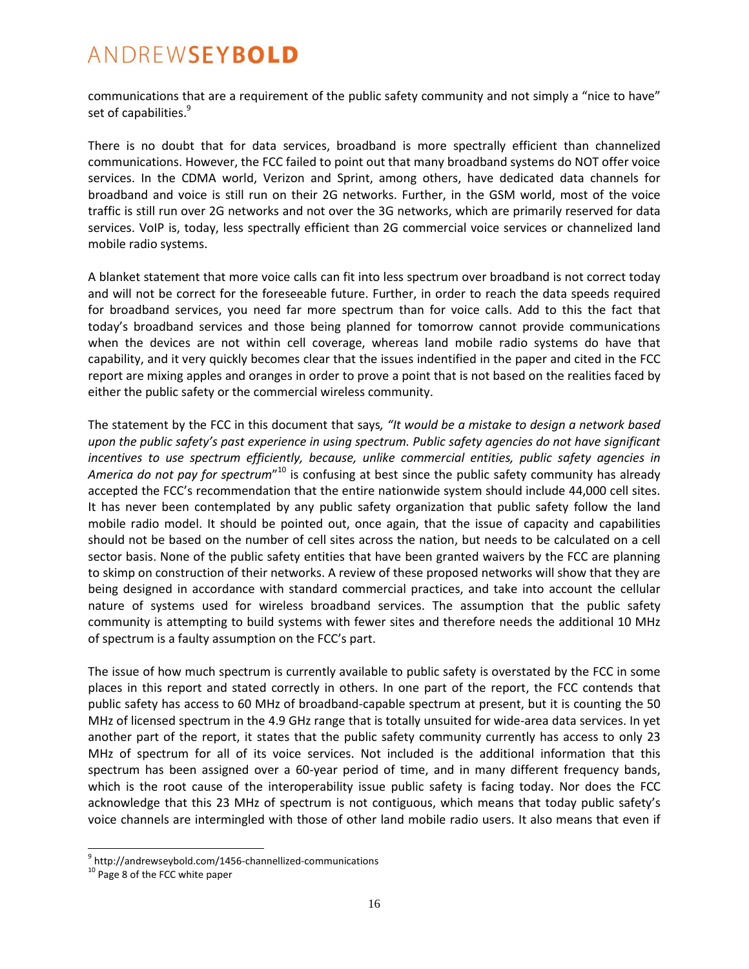communications that are a requirement of the public safety community and not simply a "nice to have" set of capabilities.<sup>9</sup>

There is no doubt that for data services, broadband is more spectrally efficient than channelized communications. However, the FCC failed to point out that many broadband systems do NOT offer voice services. In the CDMA world, Verizon and Sprint, among others, have dedicated data channels for broadband and voice is still run on their 2G networks. Further, in the GSM world, most of the voice traffic is still run over 2G networks and not over the 3G networks, which are primarily reserved for data services. VoIP is, today, less spectrally efficient than 2G commercial voice services or channelized land mobile radio systems.

A blanket statement that more voice calls can fit into less spectrum over broadband is not correct today and will not be correct for the foreseeable future. Further, in order to reach the data speeds required for broadband services, you need far more spectrum than for voice calls. Add to this the fact that today's broadband services and those being planned for tomorrow cannot provide communications when the devices are not within cell coverage, whereas land mobile radio systems do have that capability, and it very quickly becomes clear that the issues indentified in the paper and cited in the FCC report are mixing apples and oranges in order to prove a point that is not based on the realities faced by either the public safety or the commercial wireless community.

The statement by the FCC in this document that says*, "It would be a mistake to design a network based upon the public safety's past experience in using spectrum. Public safety agencies do not have significant incentives to use spectrum efficiently, because, unlike commercial entities, public safety agencies in*  America do not pay for spectrum"<sup>10</sup> is confusing at best since the public safety community has already accepted the FCC's recommendation that the entire nationwide system should include 44,000 cell sites. It has never been contemplated by any public safety organization that public safety follow the land mobile radio model. It should be pointed out, once again, that the issue of capacity and capabilities should not be based on the number of cell sites across the nation, but needs to be calculated on a cell sector basis. None of the public safety entities that have been granted waivers by the FCC are planning to skimp on construction of their networks. A review of these proposed networks will show that they are being designed in accordance with standard commercial practices, and take into account the cellular nature of systems used for wireless broadband services. The assumption that the public safety community is attempting to build systems with fewer sites and therefore needs the additional 10 MHz of spectrum is a faulty assumption on the FCC's part.

The issue of how much spectrum is currently available to public safety is overstated by the FCC in some places in this report and stated correctly in others. In one part of the report, the FCC contends that public safety has access to 60 MHz of broadband-capable spectrum at present, but it is counting the 50 MHz of licensed spectrum in the 4.9 GHz range that is totally unsuited for wide-area data services. In yet another part of the report, it states that the public safety community currently has access to only 23 MHz of spectrum for all of its voice services. Not included is the additional information that this spectrum has been assigned over a 60-year period of time, and in many different frequency bands, which is the root cause of the interoperability issue public safety is facing today. Nor does the FCC acknowledge that this 23 MHz of spectrum is not contiguous, which means that today public safety's voice channels are intermingled with those of other land mobile radio users. It also means that even if

<sup>&</sup>lt;sup>9</sup> http://andrewseybold.com/1456-channellized-communications

<sup>&</sup>lt;sup>10</sup> Page 8 of the FCC white paper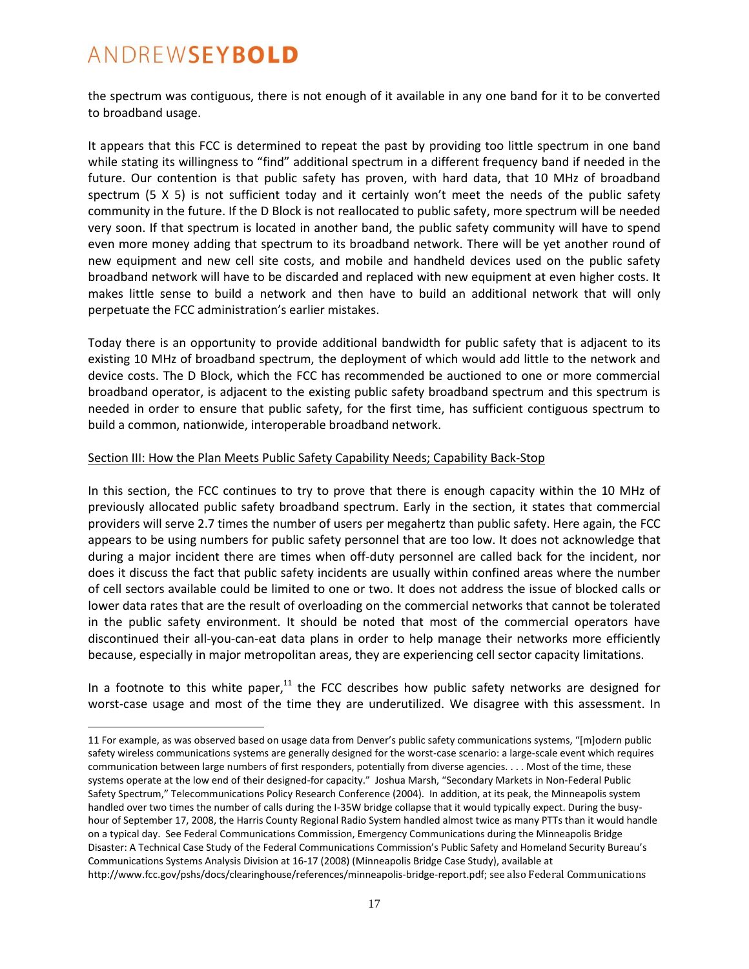$\overline{a}$ 

the spectrum was contiguous, there is not enough of it available in any one band for it to be converted to broadband usage.

It appears that this FCC is determined to repeat the past by providing too little spectrum in one band while stating its willingness to "find" additional spectrum in a different frequency band if needed in the future. Our contention is that public safety has proven, with hard data, that 10 MHz of broadband spectrum (5 X 5) is not sufficient today and it certainly won't meet the needs of the public safety community in the future. If the D Block is not reallocated to public safety, more spectrum will be needed very soon. If that spectrum is located in another band, the public safety community will have to spend even more money adding that spectrum to its broadband network. There will be yet another round of new equipment and new cell site costs, and mobile and handheld devices used on the public safety broadband network will have to be discarded and replaced with new equipment at even higher costs. It makes little sense to build a network and then have to build an additional network that will only perpetuate the FCC administration's earlier mistakes.

Today there is an opportunity to provide additional bandwidth for public safety that is adjacent to its existing 10 MHz of broadband spectrum, the deployment of which would add little to the network and device costs. The D Block, which the FCC has recommended be auctioned to one or more commercial broadband operator, is adjacent to the existing public safety broadband spectrum and this spectrum is needed in order to ensure that public safety, for the first time, has sufficient contiguous spectrum to build a common, nationwide, interoperable broadband network.

#### Section III: How the Plan Meets Public Safety Capability Needs; Capability Back-Stop

In this section, the FCC continues to try to prove that there is enough capacity within the 10 MHz of previously allocated public safety broadband spectrum. Early in the section, it states that commercial providers will serve 2.7 times the number of users per megahertz than public safety. Here again, the FCC appears to be using numbers for public safety personnel that are too low. It does not acknowledge that during a major incident there are times when off-duty personnel are called back for the incident, nor does it discuss the fact that public safety incidents are usually within confined areas where the number of cell sectors available could be limited to one or two. It does not address the issue of blocked calls or lower data rates that are the result of overloading on the commercial networks that cannot be tolerated in the public safety environment. It should be noted that most of the commercial operators have discontinued their all-you-can-eat data plans in order to help manage their networks more efficiently because, especially in major metropolitan areas, they are experiencing cell sector capacity limitations.

In a footnote to this white paper, $^{11}$  the FCC describes how public safety networks are designed for worst-case usage and most of the time they are underutilized. We disagree with this assessment. In

<sup>11</sup> For example, as was observed based on usage data from Denver's public safety communications systems, "[m]odern public safety wireless communications systems are generally designed for the worst-case scenario: a large-scale event which requires communication between large numbers of first responders, potentially from diverse agencies. . . . Most of the time, these systems operate at the low end of their designed-for capacity." Joshua Marsh, "Secondary Markets in Non-Federal Public Safety Spectrum," Telecommunications Policy Research Conference (2004). In addition, at its peak, the Minneapolis system handled over two times the number of calls during the I-35W bridge collapse that it would typically expect. During the busyhour of September 17, 2008, the Harris County Regional Radio System handled almost twice as many PTTs than it would handle on a typical day. See Federal Communications Commission, Emergency Communications during the Minneapolis Bridge Disaster: A Technical Case Study of the Federal Communications Commission's Public Safety and Homeland Security Bureau's Communications Systems Analysis Division at 16-17 (2008) (Minneapolis Bridge Case Study), available at http://www.fcc.gov/pshs/docs/clearinghouse/references/minneapolis-bridge-report.pdf; see also Federal Communications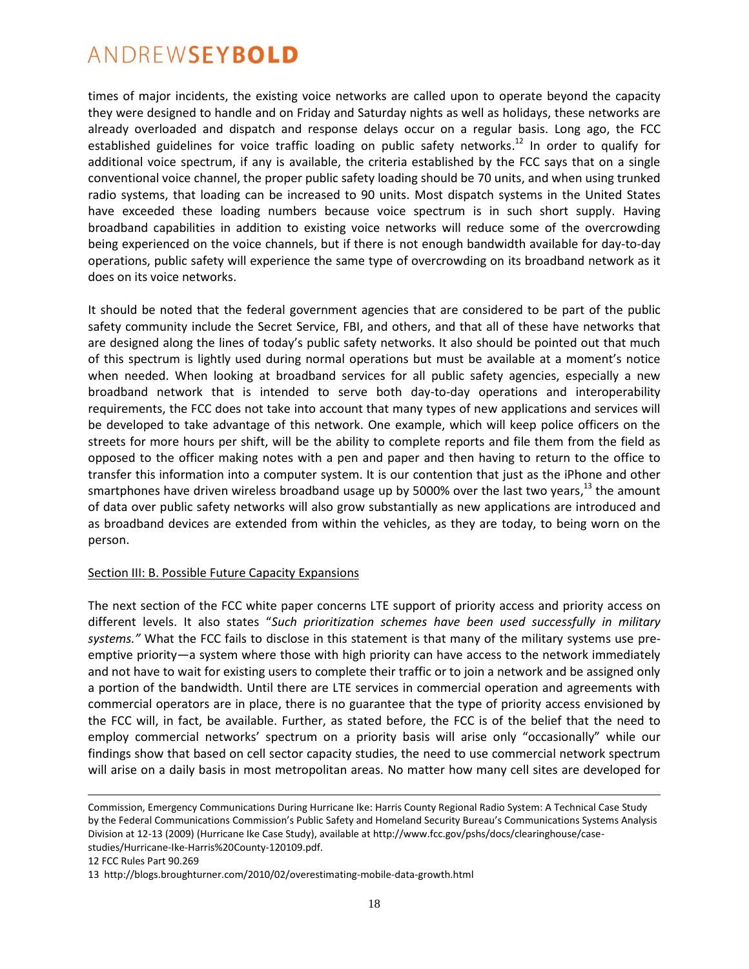times of major incidents, the existing voice networks are called upon to operate beyond the capacity they were designed to handle and on Friday and Saturday nights as well as holidays, these networks are already overloaded and dispatch and response delays occur on a regular basis. Long ago, the FCC established guidelines for voice traffic loading on public safety networks.<sup>12</sup> In order to qualify for additional voice spectrum, if any is available, the criteria established by the FCC says that on a single conventional voice channel, the proper public safety loading should be 70 units, and when using trunked radio systems, that loading can be increased to 90 units. Most dispatch systems in the United States have exceeded these loading numbers because voice spectrum is in such short supply. Having broadband capabilities in addition to existing voice networks will reduce some of the overcrowding being experienced on the voice channels, but if there is not enough bandwidth available for day-to-day operations, public safety will experience the same type of overcrowding on its broadband network as it does on its voice networks.

It should be noted that the federal government agencies that are considered to be part of the public safety community include the Secret Service, FBI, and others, and that all of these have networks that are designed along the lines of today's public safety networks. It also should be pointed out that much of this spectrum is lightly used during normal operations but must be available at a moment's notice when needed. When looking at broadband services for all public safety agencies, especially a new broadband network that is intended to serve both day-to-day operations and interoperability requirements, the FCC does not take into account that many types of new applications and services will be developed to take advantage of this network. One example, which will keep police officers on the streets for more hours per shift, will be the ability to complete reports and file them from the field as opposed to the officer making notes with a pen and paper and then having to return to the office to transfer this information into a computer system. It is our contention that just as the iPhone and other smartphones have driven wireless broadband usage up by 5000% over the last two years,<sup>13</sup> the amount of data over public safety networks will also grow substantially as new applications are introduced and as broadband devices are extended from within the vehicles, as they are today, to being worn on the person.

#### Section III: B. Possible Future Capacity Expansions

The next section of the FCC white paper concerns LTE support of priority access and priority access on different levels. It also states "*Such prioritization schemes have been used successfully in military systems."* What the FCC fails to disclose in this statement is that many of the military systems use preemptive priority—a system where those with high priority can have access to the network immediately and not have to wait for existing users to complete their traffic or to join a network and be assigned only a portion of the bandwidth. Until there are LTE services in commercial operation and agreements with commercial operators are in place, there is no guarantee that the type of priority access envisioned by the FCC will, in fact, be available. Further, as stated before, the FCC is of the belief that the need to employ commercial networks' spectrum on a priority basis will arise only "occasionally" while our findings show that based on cell sector capacity studies, the need to use commercial network spectrum will arise on a daily basis in most metropolitan areas. No matter how many cell sites are developed for

12 FCC Rules Part 90.269

Commission, Emergency Communications During Hurricane Ike: Harris County Regional Radio System: A Technical Case Study by the Federal Communications Commission's Public Safety and Homeland Security Bureau's Communications Systems Analysis Division at 12-13 (2009) (Hurricane Ike Case Study), available at http://www.fcc.gov/pshs/docs/clearinghouse/casestudies/Hurricane-Ike-Harris%20County-120109.pdf.

<sup>13</sup> http://blogs.broughturner.com/2010/02/overestimating-mobile-data-growth.html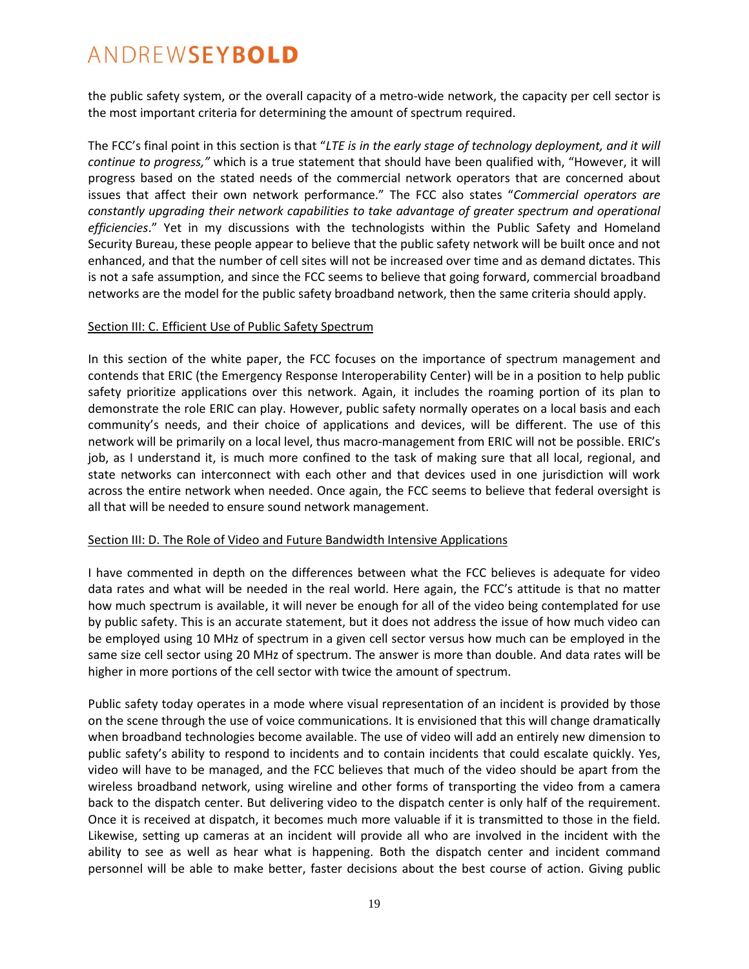the public safety system, or the overall capacity of a metro-wide network, the capacity per cell sector is the most important criteria for determining the amount of spectrum required.

The FCC's final point in this section is that "*LTE is in the early stage of technology deployment, and it will continue to progress,"* which is a true statement that should have been qualified with, "However, it will progress based on the stated needs of the commercial network operators that are concerned about issues that affect their own network performance." The FCC also states "*Commercial operators are constantly upgrading their network capabilities to take advantage of greater spectrum and operational efficiencies*." Yet in my discussions with the technologists within the Public Safety and Homeland Security Bureau, these people appear to believe that the public safety network will be built once and not enhanced, and that the number of cell sites will not be increased over time and as demand dictates. This is not a safe assumption, and since the FCC seems to believe that going forward, commercial broadband networks are the model for the public safety broadband network, then the same criteria should apply.

#### Section III: C. Efficient Use of Public Safety Spectrum

In this section of the white paper, the FCC focuses on the importance of spectrum management and contends that ERIC (the Emergency Response Interoperability Center) will be in a position to help public safety prioritize applications over this network. Again, it includes the roaming portion of its plan to demonstrate the role ERIC can play. However, public safety normally operates on a local basis and each community's needs, and their choice of applications and devices, will be different. The use of this network will be primarily on a local level, thus macro-management from ERIC will not be possible. ERIC's job, as I understand it, is much more confined to the task of making sure that all local, regional, and state networks can interconnect with each other and that devices used in one jurisdiction will work across the entire network when needed. Once again, the FCC seems to believe that federal oversight is all that will be needed to ensure sound network management.

#### Section III: D. The Role of Video and Future Bandwidth Intensive Applications

I have commented in depth on the differences between what the FCC believes is adequate for video data rates and what will be needed in the real world. Here again, the FCC's attitude is that no matter how much spectrum is available, it will never be enough for all of the video being contemplated for use by public safety. This is an accurate statement, but it does not address the issue of how much video can be employed using 10 MHz of spectrum in a given cell sector versus how much can be employed in the same size cell sector using 20 MHz of spectrum. The answer is more than double. And data rates will be higher in more portions of the cell sector with twice the amount of spectrum.

Public safety today operates in a mode where visual representation of an incident is provided by those on the scene through the use of voice communications. It is envisioned that this will change dramatically when broadband technologies become available. The use of video will add an entirely new dimension to public safety's ability to respond to incidents and to contain incidents that could escalate quickly. Yes, video will have to be managed, and the FCC believes that much of the video should be apart from the wireless broadband network, using wireline and other forms of transporting the video from a camera back to the dispatch center. But delivering video to the dispatch center is only half of the requirement. Once it is received at dispatch, it becomes much more valuable if it is transmitted to those in the field. Likewise, setting up cameras at an incident will provide all who are involved in the incident with the ability to see as well as hear what is happening. Both the dispatch center and incident command personnel will be able to make better, faster decisions about the best course of action. Giving public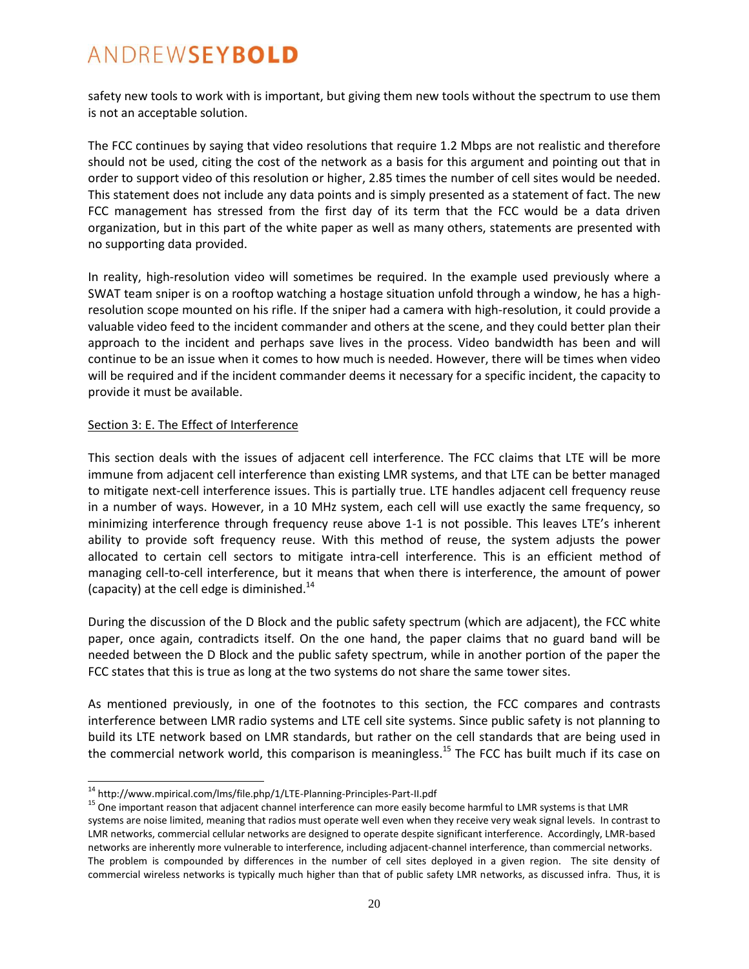safety new tools to work with is important, but giving them new tools without the spectrum to use them is not an acceptable solution.

The FCC continues by saying that video resolutions that require 1.2 Mbps are not realistic and therefore should not be used, citing the cost of the network as a basis for this argument and pointing out that in order to support video of this resolution or higher, 2.85 times the number of cell sites would be needed. This statement does not include any data points and is simply presented as a statement of fact. The new FCC management has stressed from the first day of its term that the FCC would be a data driven organization, but in this part of the white paper as well as many others, statements are presented with no supporting data provided.

In reality, high-resolution video will sometimes be required. In the example used previously where a SWAT team sniper is on a rooftop watching a hostage situation unfold through a window, he has a highresolution scope mounted on his rifle. If the sniper had a camera with high-resolution, it could provide a valuable video feed to the incident commander and others at the scene, and they could better plan their approach to the incident and perhaps save lives in the process. Video bandwidth has been and will continue to be an issue when it comes to how much is needed. However, there will be times when video will be required and if the incident commander deems it necessary for a specific incident, the capacity to provide it must be available.

#### Section 3: E. The Effect of Interference

 $\overline{a}$ 

This section deals with the issues of adjacent cell interference. The FCC claims that LTE will be more immune from adjacent cell interference than existing LMR systems, and that LTE can be better managed to mitigate next-cell interference issues. This is partially true. LTE handles adjacent cell frequency reuse in a number of ways. However, in a 10 MHz system, each cell will use exactly the same frequency, so minimizing interference through frequency reuse above 1-1 is not possible. This leaves LTE's inherent ability to provide soft frequency reuse. With this method of reuse, the system adjusts the power allocated to certain cell sectors to mitigate intra-cell interference. This is an efficient method of managing cell-to-cell interference, but it means that when there is interference, the amount of power (capacity) at the cell edge is diminished. $14$ 

During the discussion of the D Block and the public safety spectrum (which are adjacent), the FCC white paper, once again, contradicts itself. On the one hand, the paper claims that no guard band will be needed between the D Block and the public safety spectrum, while in another portion of the paper the FCC states that this is true as long at the two systems do not share the same tower sites.

As mentioned previously, in one of the footnotes to this section, the FCC compares and contrasts interference between LMR radio systems and LTE cell site systems. Since public safety is not planning to build its LTE network based on LMR standards, but rather on the cell standards that are being used in the commercial network world, this comparison is meaningless.<sup>15</sup> The FCC has built much if its case on

<sup>14</sup> http://www.mpirical.com/lms/file.php/1/LTE-Planning-Principles-Part-II.pdf

<sup>&</sup>lt;sup>15</sup> One important reason that adjacent channel interference can more easily become harmful to LMR systems is that LMR systems are noise limited, meaning that radios must operate well even when they receive very weak signal levels. In contrast to LMR networks, commercial cellular networks are designed to operate despite significant interference. Accordingly, LMR-based networks are inherently more vulnerable to interference, including adjacent-channel interference, than commercial networks. The problem is compounded by differences in the number of cell sites deployed in a given region. The site density of commercial wireless networks is typically much higher than that of public safety LMR networks, as discussed infra. Thus, it is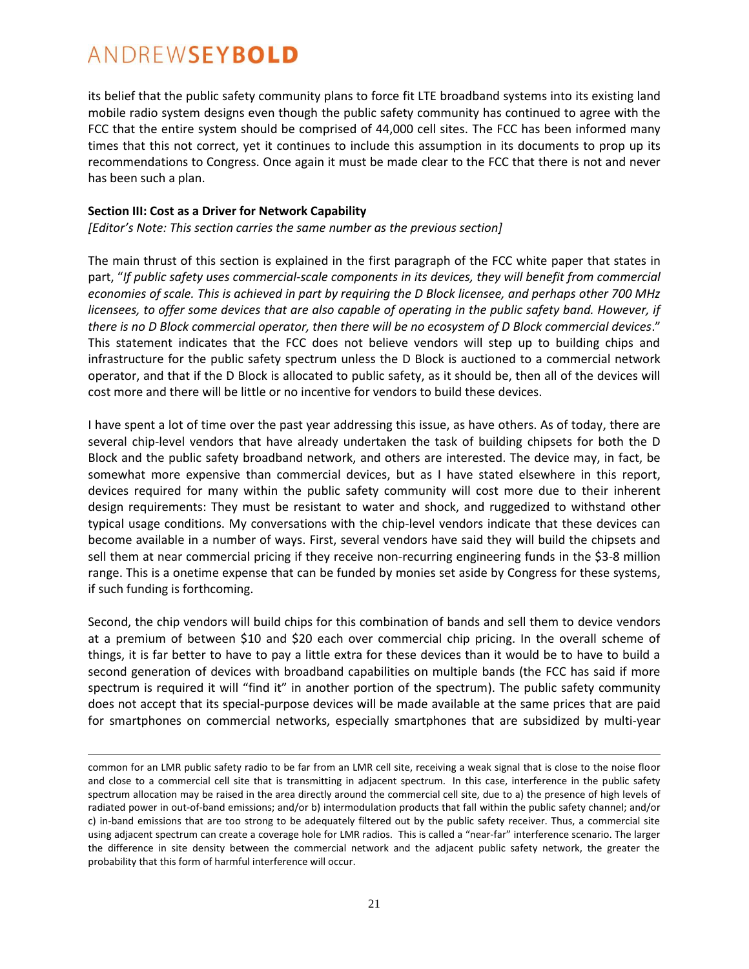$\overline{a}$ 

its belief that the public safety community plans to force fit LTE broadband systems into its existing land mobile radio system designs even though the public safety community has continued to agree with the FCC that the entire system should be comprised of 44,000 cell sites. The FCC has been informed many times that this not correct, yet it continues to include this assumption in its documents to prop up its recommendations to Congress. Once again it must be made clear to the FCC that there is not and never has been such a plan.

#### **Section III: Cost as a Driver for Network Capability**

*\*Editor's Note: This section carries the same number as the previous section]*

The main thrust of this section is explained in the first paragraph of the FCC white paper that states in part, "*If public safety uses commercial-scale components in its devices, they will benefit from commercial economies of scale. This is achieved in part by requiring the D Block licensee, and perhaps other 700 MHz licensees, to offer some devices that are also capable of operating in the public safety band. However, if there is no D Block commercial operator, then there will be no ecosystem of D Block commercial devices*." This statement indicates that the FCC does not believe vendors will step up to building chips and infrastructure for the public safety spectrum unless the D Block is auctioned to a commercial network operator, and that if the D Block is allocated to public safety, as it should be, then all of the devices will cost more and there will be little or no incentive for vendors to build these devices.

I have spent a lot of time over the past year addressing this issue, as have others. As of today, there are several chip-level vendors that have already undertaken the task of building chipsets for both the D Block and the public safety broadband network, and others are interested. The device may, in fact, be somewhat more expensive than commercial devices, but as I have stated elsewhere in this report, devices required for many within the public safety community will cost more due to their inherent design requirements: They must be resistant to water and shock, and ruggedized to withstand other typical usage conditions. My conversations with the chip-level vendors indicate that these devices can become available in a number of ways. First, several vendors have said they will build the chipsets and sell them at near commercial pricing if they receive non-recurring engineering funds in the \$3-8 million range. This is a onetime expense that can be funded by monies set aside by Congress for these systems, if such funding is forthcoming.

Second, the chip vendors will build chips for this combination of bands and sell them to device vendors at a premium of between \$10 and \$20 each over commercial chip pricing. In the overall scheme of things, it is far better to have to pay a little extra for these devices than it would be to have to build a second generation of devices with broadband capabilities on multiple bands (the FCC has said if more spectrum is required it will "find it" in another portion of the spectrum). The public safety community does not accept that its special-purpose devices will be made available at the same prices that are paid for smartphones on commercial networks, especially smartphones that are subsidized by multi-year

common for an LMR public safety radio to be far from an LMR cell site, receiving a weak signal that is close to the noise floor and close to a commercial cell site that is transmitting in adjacent spectrum. In this case, interference in the public safety spectrum allocation may be raised in the area directly around the commercial cell site, due to a) the presence of high levels of radiated power in out-of-band emissions; and/or b) intermodulation products that fall within the public safety channel; and/or c) in-band emissions that are too strong to be adequately filtered out by the public safety receiver. Thus, a commercial site using adjacent spectrum can create a coverage hole for LMR radios. This is called a "near-far" interference scenario. The larger the difference in site density between the commercial network and the adjacent public safety network, the greater the probability that this form of harmful interference will occur.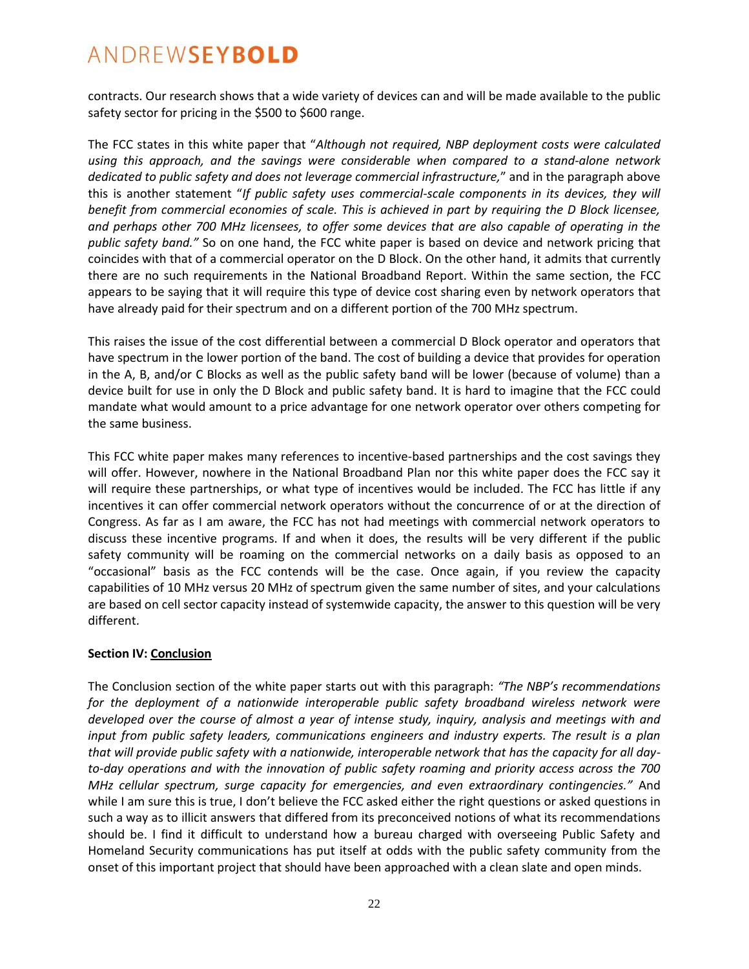contracts. Our research shows that a wide variety of devices can and will be made available to the public safety sector for pricing in the \$500 to \$600 range.

The FCC states in this white paper that "*Although not required, NBP deployment costs were calculated using this approach, and the savings were considerable when compared to a stand-alone network dedicated to public safety and does not leverage commercial infrastructure,*" and in the paragraph above this is another statement "*If public safety uses commercial-scale components in its devices, they will benefit from commercial economies of scale. This is achieved in part by requiring the D Block licensee, and perhaps other 700 MHz licensees, to offer some devices that are also capable of operating in the public safety band."* So on one hand, the FCC white paper is based on device and network pricing that coincides with that of a commercial operator on the D Block. On the other hand, it admits that currently there are no such requirements in the National Broadband Report. Within the same section, the FCC appears to be saying that it will require this type of device cost sharing even by network operators that have already paid for their spectrum and on a different portion of the 700 MHz spectrum.

This raises the issue of the cost differential between a commercial D Block operator and operators that have spectrum in the lower portion of the band. The cost of building a device that provides for operation in the A, B, and/or C Blocks as well as the public safety band will be lower (because of volume) than a device built for use in only the D Block and public safety band. It is hard to imagine that the FCC could mandate what would amount to a price advantage for one network operator over others competing for the same business.

This FCC white paper makes many references to incentive-based partnerships and the cost savings they will offer. However, nowhere in the National Broadband Plan nor this white paper does the FCC say it will require these partnerships, or what type of incentives would be included. The FCC has little if any incentives it can offer commercial network operators without the concurrence of or at the direction of Congress. As far as I am aware, the FCC has not had meetings with commercial network operators to discuss these incentive programs. If and when it does, the results will be very different if the public safety community will be roaming on the commercial networks on a daily basis as opposed to an "occasional" basis as the FCC contends will be the case. Once again, if you review the capacity capabilities of 10 MHz versus 20 MHz of spectrum given the same number of sites, and your calculations are based on cell sector capacity instead of systemwide capacity, the answer to this question will be very different.

#### **Section IV: Conclusion**

The Conclusion section of the white paper starts out with this paragraph: *"The NBP's recommendations for the deployment of a nationwide interoperable public safety broadband wireless network were developed over the course of almost a year of intense study, inquiry, analysis and meetings with and input from public safety leaders, communications engineers and industry experts. The result is a plan that will provide public safety with a nationwide, interoperable network that has the capacity for all dayto-day operations and with the innovation of public safety roaming and priority access across the 700 MHz cellular spectrum, surge capacity for emergencies, and even extraordinary contingencies."* And while I am sure this is true, I don't believe the FCC asked either the right questions or asked questions in such a way as to illicit answers that differed from its preconceived notions of what its recommendations should be. I find it difficult to understand how a bureau charged with overseeing Public Safety and Homeland Security communications has put itself at odds with the public safety community from the onset of this important project that should have been approached with a clean slate and open minds.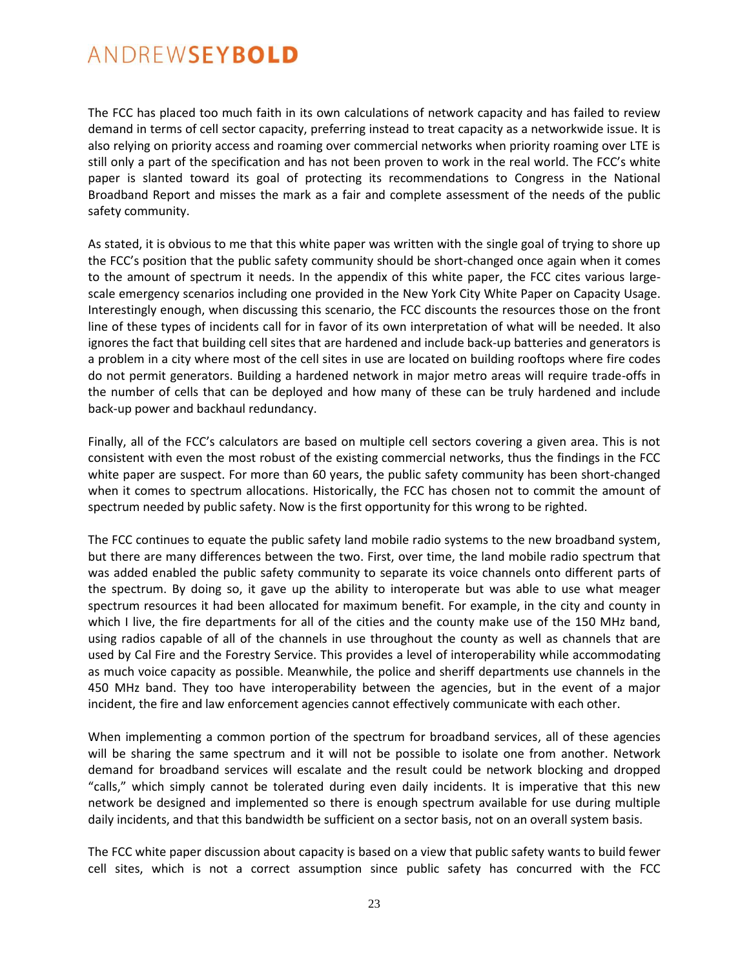The FCC has placed too much faith in its own calculations of network capacity and has failed to review demand in terms of cell sector capacity, preferring instead to treat capacity as a networkwide issue. It is also relying on priority access and roaming over commercial networks when priority roaming over LTE is still only a part of the specification and has not been proven to work in the real world. The FCC's white paper is slanted toward its goal of protecting its recommendations to Congress in the National Broadband Report and misses the mark as a fair and complete assessment of the needs of the public safety community.

As stated, it is obvious to me that this white paper was written with the single goal of trying to shore up the FCC's position that the public safety community should be short-changed once again when it comes to the amount of spectrum it needs. In the appendix of this white paper, the FCC cites various largescale emergency scenarios including one provided in the New York City White Paper on Capacity Usage. Interestingly enough, when discussing this scenario, the FCC discounts the resources those on the front line of these types of incidents call for in favor of its own interpretation of what will be needed. It also ignores the fact that building cell sites that are hardened and include back-up batteries and generators is a problem in a city where most of the cell sites in use are located on building rooftops where fire codes do not permit generators. Building a hardened network in major metro areas will require trade-offs in the number of cells that can be deployed and how many of these can be truly hardened and include back-up power and backhaul redundancy.

Finally, all of the FCC's calculators are based on multiple cell sectors covering a given area. This is not consistent with even the most robust of the existing commercial networks, thus the findings in the FCC white paper are suspect. For more than 60 years, the public safety community has been short-changed when it comes to spectrum allocations. Historically, the FCC has chosen not to commit the amount of spectrum needed by public safety. Now is the first opportunity for this wrong to be righted.

The FCC continues to equate the public safety land mobile radio systems to the new broadband system, but there are many differences between the two. First, over time, the land mobile radio spectrum that was added enabled the public safety community to separate its voice channels onto different parts of the spectrum. By doing so, it gave up the ability to interoperate but was able to use what meager spectrum resources it had been allocated for maximum benefit. For example, in the city and county in which I live, the fire departments for all of the cities and the county make use of the 150 MHz band, using radios capable of all of the channels in use throughout the county as well as channels that are used by Cal Fire and the Forestry Service. This provides a level of interoperability while accommodating as much voice capacity as possible. Meanwhile, the police and sheriff departments use channels in the 450 MHz band. They too have interoperability between the agencies, but in the event of a major incident, the fire and law enforcement agencies cannot effectively communicate with each other.

When implementing a common portion of the spectrum for broadband services, all of these agencies will be sharing the same spectrum and it will not be possible to isolate one from another. Network demand for broadband services will escalate and the result could be network blocking and dropped "calls," which simply cannot be tolerated during even daily incidents. It is imperative that this new network be designed and implemented so there is enough spectrum available for use during multiple daily incidents, and that this bandwidth be sufficient on a sector basis, not on an overall system basis.

The FCC white paper discussion about capacity is based on a view that public safety wants to build fewer cell sites, which is not a correct assumption since public safety has concurred with the FCC